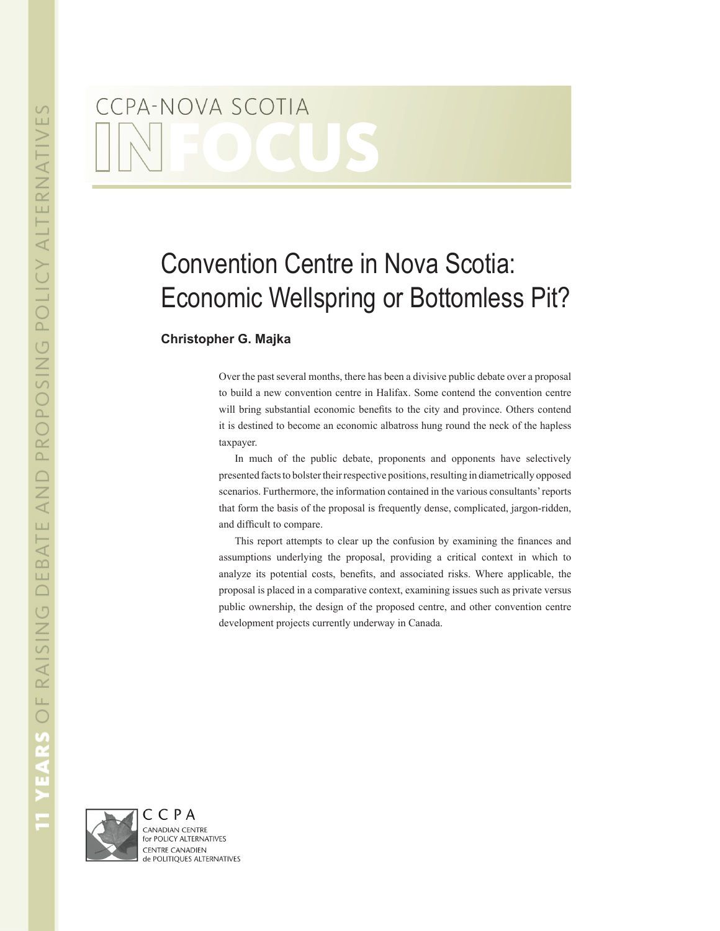# CCPA-NOVA SCOTIA

# Convention Centre in Nova Scotia: Economic Wellspring or Bottomless Pit?

## **Christopher G. Majka**

Over the past several months, there has been a divisive public debate over a proposal to build a new convention centre in Halifax. Some contend the convention centre will bring substantial economic benefits to the city and province. Others contend it is destined to become an economic albatross hung round the neck of the hapless taxpayer.

In much of the public debate, proponents and opponents have selectively presented facts to bolster their respective positions, resulting in diametrically opposed scenarios. Furthermore, the information contained in the various consultants' reports that form the basis of the proposal is frequently dense, complicated, jargon-ridden, and difficult to compare.

This report attempts to clear up the confusion by examining the finances and assumptions underlying the proposal, providing a critical context in which to analyze its potential costs, benefits, and associated risks. Where applicable, the proposal is placed in a comparative context, examining issues such as private versus public ownership, the design of the proposed centre, and other convention centre development projects currently underway in Canada.

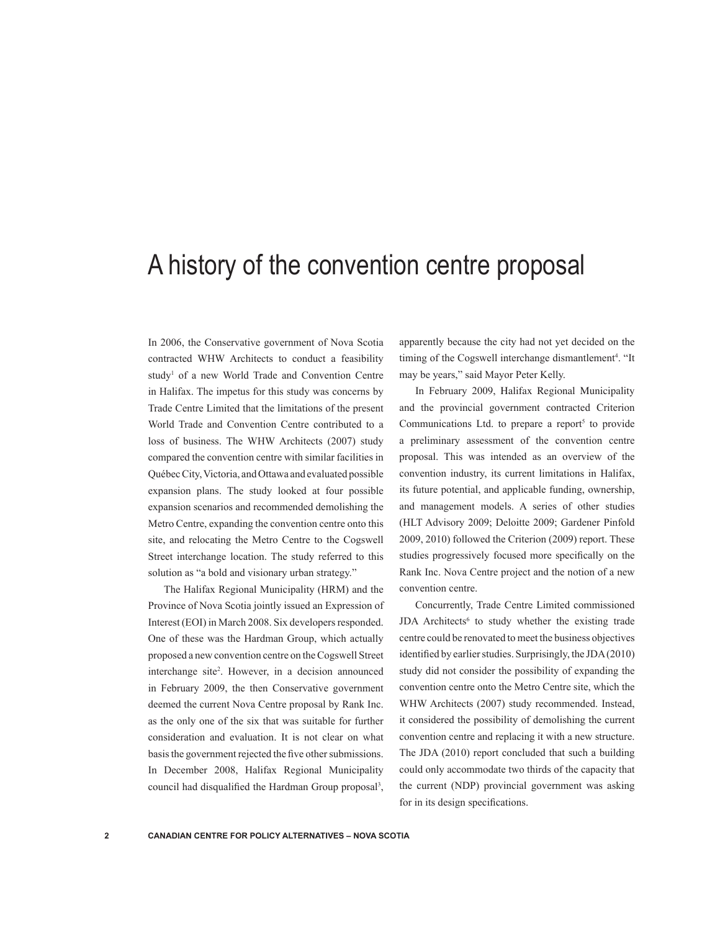## A history of the convention centre proposal

In 2006, the Conservative government of Nova Scotia contracted WHW Architects to conduct a feasibility study<sup>1</sup> of a new World Trade and Convention Centre in Halifax. The impetus for this study was concerns by Trade Centre Limited that the limitations of the present World Trade and Convention Centre contributed to a loss of business. The WHW Architects (2007) study compared the convention centre with similar facilities in Québec City, Victoria, and Ottawa and evaluated possible expansion plans. The study looked at four possible expansion scenarios and recommended demolishing the Metro Centre, expanding the convention centre onto this site, and relocating the Metro Centre to the Cogswell Street interchange location. The study referred to this solution as "a bold and visionary urban strategy."

The Halifax Regional Municipality (HRM) and the Province of Nova Scotia jointly issued an Expression of Interest (EOI) in March 2008. Six developers responded. One of these was the Hardman Group, which actually proposed a new convention centre on the Cogswell Street interchange site<sup>2</sup>. However, in a decision announced in February 2009, the then Conservative government deemed the current Nova Centre proposal by Rank Inc. as the only one of the six that was suitable for further consideration and evaluation. It is not clear on what basis the government rejected the five other submissions. In December 2008, Halifax Regional Municipality council had disqualified the Hardman Group proposal<sup>3</sup>, apparently because the city had not yet decided on the timing of the Cogswell interchange dismantlement<sup>4</sup>. "It may be years," said Mayor Peter Kelly.

In February 2009, Halifax Regional Municipality and the provincial government contracted Criterion Communications Ltd. to prepare a report<sup>5</sup> to provide a preliminary assessment of the convention centre proposal. This was intended as an overview of the convention industry, its current limitations in Halifax, its future potential, and applicable funding, ownership, and management models. A series of other studies (HLT Advisory 2009; Deloitte 2009; Gardener Pinfold 2009, 2010) followed the Criterion (2009) report. These studies progressively focused more specifically on the Rank Inc. Nova Centre project and the notion of a new convention centre.

Concurrently, Trade Centre Limited commissioned JDA Architects<sup>6</sup> to study whether the existing trade centre could be renovated to meet the business objectives identified by earlier studies. Surprisingly, the JDA (2010) study did not consider the possibility of expanding the convention centre onto the Metro Centre site, which the WHW Architects (2007) study recommended. Instead, it considered the possibility of demolishing the current convention centre and replacing it with a new structure. The JDA (2010) report concluded that such a building could only accommodate two thirds of the capacity that the current (NDP) provincial government was asking for in its design specifications.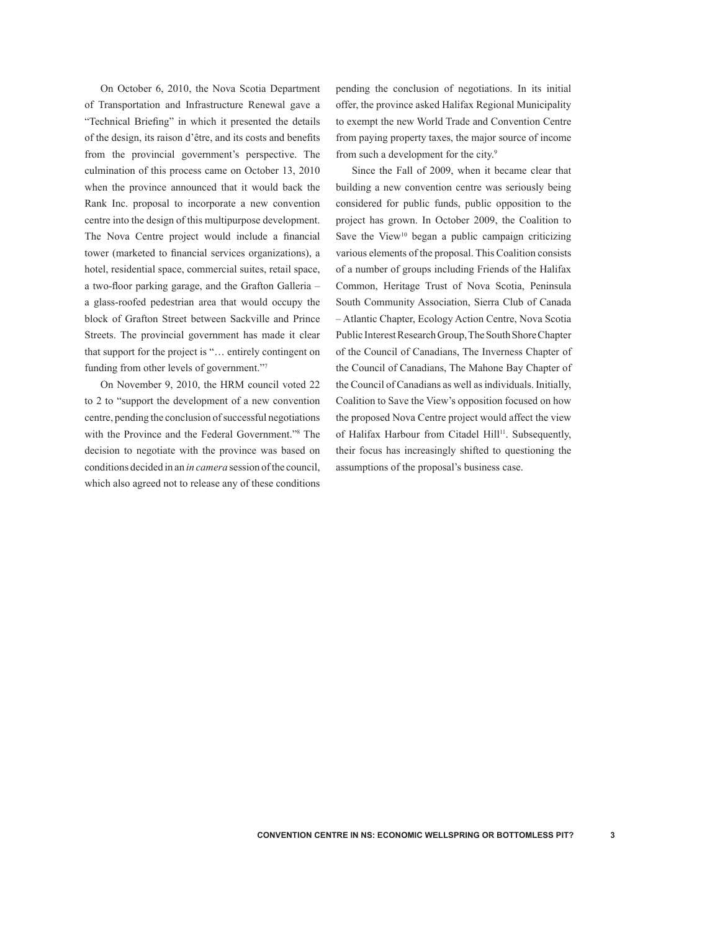On October 6, 2010, the Nova Scotia Department of Transportation and Infrastructure Renewal gave a "Technical Briefing" in which it presented the details of the design, its raison d'être, and its costs and benefits from the provincial government's perspective. The culmination of this process came on October 13, 2010 when the province announced that it would back the Rank Inc. proposal to incorporate a new convention centre into the design of this multipurpose development. The Nova Centre project would include a financial tower (marketed to financial services organizations), a hotel, residential space, commercial suites, retail space, a two-floor parking garage, and the Grafton Galleria – a glass-roofed pedestrian area that would occupy the block of Grafton Street between Sackville and Prince Streets. The provincial government has made it clear that support for the project is "… entirely contingent on funding from other levels of government."7

On November 9, 2010, the HRM council voted 22 to 2 to "support the development of a new convention centre, pending the conclusion of successful negotiations with the Province and the Federal Government."8 The decision to negotiate with the province was based on conditions decided in an *in camera* session of the council, which also agreed not to release any of these conditions

pending the conclusion of negotiations. In its initial offer, the province asked Halifax Regional Municipality to exempt the new World Trade and Convention Centre from paying property taxes, the major source of income from such a development for the city.<sup>9</sup>

Since the Fall of 2009, when it became clear that building a new convention centre was seriously being considered for public funds, public opposition to the project has grown. In October 2009, the Coalition to Save the View<sup>10</sup> began a public campaign criticizing various elements of the proposal. This Coalition consists of a number of groups including Friends of the Halifax Common, Heritage Trust of Nova Scotia, Peninsula South Community Association, Sierra Club of Canada – Atlantic Chapter, Ecology Action Centre, Nova Scotia Public Interest Research Group, The South Shore Chapter of the Council of Canadians, The Inverness Chapter of the Council of Canadians, The Mahone Bay Chapter of the Council of Canadians as well as individuals. Initially, Coalition to Save the View's opposition focused on how the proposed Nova Centre project would affect the view of Halifax Harbour from Citadel Hill<sup>11</sup>. Subsequently, their focus has increasingly shifted to questioning the assumptions of the proposal's business case.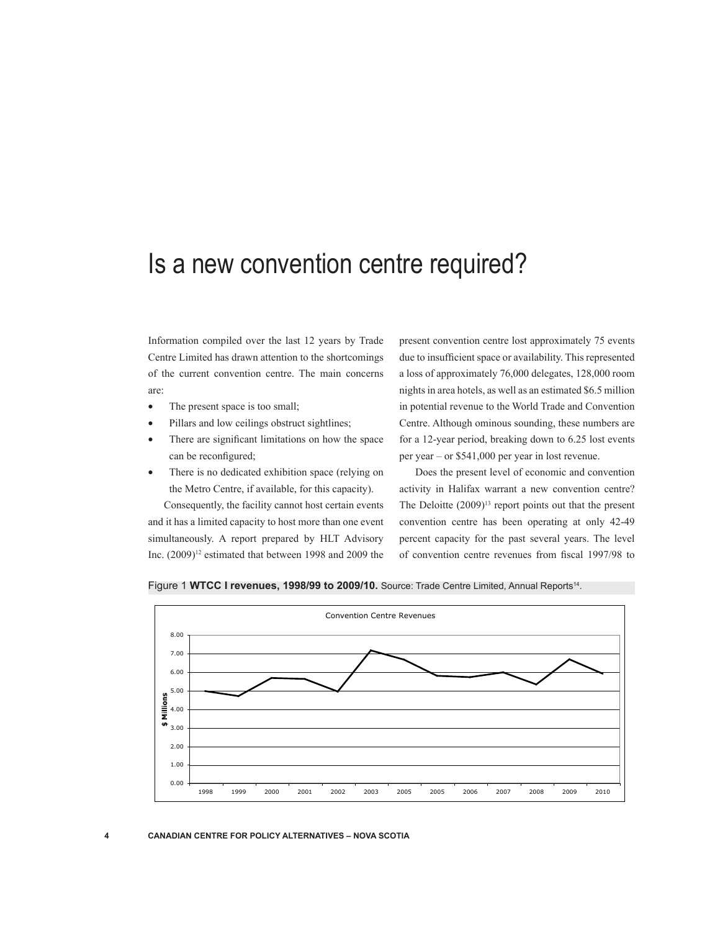## Is a new convention centre required?

Information compiled over the last 12 years by Trade Centre Limited has drawn attention to the shortcomings of the current convention centre. The main concerns are:

- The present space is too small;
- Pillars and low ceilings obstruct sightlines;
- There are significant limitations on how the space can be reconfigured;
- There is no dedicated exhibition space (relying on the Metro Centre, if available, for this capacity).

Consequently, the facility cannot host certain events and it has a limited capacity to host more than one event simultaneously. A report prepared by HLT Advisory Inc.  $(2009)^{12}$  estimated that between 1998 and 2009 the present convention centre lost approximately 75 events due to insufficient space or availability. This represented a loss of approximately 76,000 delegates, 128,000 room nights in area hotels, as well as an estimated \$6.5 million in potential revenue to the World Trade and Convention Centre. Although ominous sounding, these numbers are for a 12-year period, breaking down to 6.25 lost events per year – or \$541,000 per year in lost revenue.

Does the present level of economic and convention activity in Halifax warrant a new convention centre? The Deloitte  $(2009)^{13}$  report points out that the present convention centre has been operating at only 42-49 percent capacity for the past several years. The level of convention centre revenues from fiscal 1997/98 to



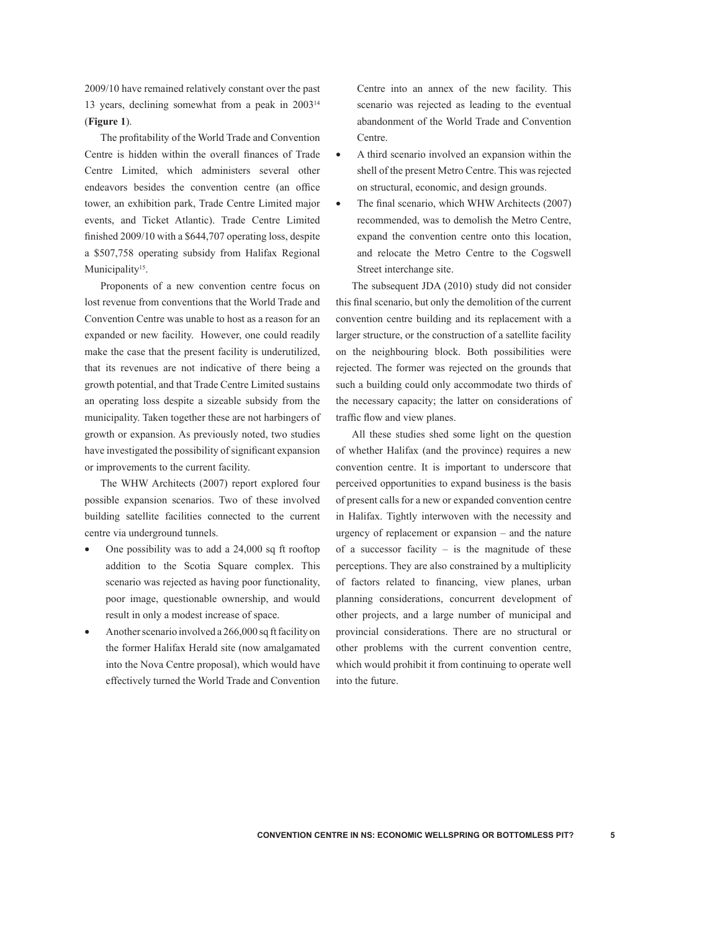2009/10 have remained relatively constant over the past 13 years, declining somewhat from a peak in 200314 (**Figure 1**).

The profitability of the World Trade and Convention Centre is hidden within the overall finances of Trade Centre Limited, which administers several other endeavors besides the convention centre (an office tower, an exhibition park, Trade Centre Limited major events, and Ticket Atlantic). Trade Centre Limited finished 2009/10 with a \$644,707 operating loss, despite a \$507,758 operating subsidy from Halifax Regional Municipality<sup>15</sup>.

Proponents of a new convention centre focus on lost revenue from conventions that the World Trade and Convention Centre was unable to host as a reason for an expanded or new facility. However, one could readily make the case that the present facility is underutilized, that its revenues are not indicative of there being a growth potential, and that Trade Centre Limited sustains an operating loss despite a sizeable subsidy from the municipality. Taken together these are not harbingers of growth or expansion. As previously noted, two studies have investigated the possibility of significant expansion or improvements to the current facility.

The WHW Architects (2007) report explored four possible expansion scenarios. Two of these involved building satellite facilities connected to the current centre via underground tunnels.

- One possibility was to add a  $24,000$  sq ft rooftop addition to the Scotia Square complex. This scenario was rejected as having poor functionality, poor image, questionable ownership, and would result in only a modest increase of space.
- Another scenario involved a 266,000 sq ft facility on the former Halifax Herald site (now amalgamated into the Nova Centre proposal), which would have effectively turned the World Trade and Convention

Centre into an annex of the new facility. This scenario was rejected as leading to the eventual abandonment of the World Trade and Convention Centre.

- • A third scenario involved an expansion within the shell of the present Metro Centre. This was rejected on structural, economic, and design grounds.
- The final scenario, which WHW Architects (2007) recommended, was to demolish the Metro Centre, expand the convention centre onto this location, and relocate the Metro Centre to the Cogswell Street interchange site.

The subsequent JDA (2010) study did not consider this final scenario, but only the demolition of the current convention centre building and its replacement with a larger structure, or the construction of a satellite facility on the neighbouring block. Both possibilities were rejected. The former was rejected on the grounds that such a building could only accommodate two thirds of the necessary capacity; the latter on considerations of traffic flow and view planes.

All these studies shed some light on the question of whether Halifax (and the province) requires a new convention centre. It is important to underscore that perceived opportunities to expand business is the basis of present calls for a new or expanded convention centre in Halifax. Tightly interwoven with the necessity and urgency of replacement or expansion – and the nature of a successor facility  $-$  is the magnitude of these perceptions. They are also constrained by a multiplicity of factors related to financing, view planes, urban planning considerations, concurrent development of other projects, and a large number of municipal and provincial considerations. There are no structural or other problems with the current convention centre, which would prohibit it from continuing to operate well into the future.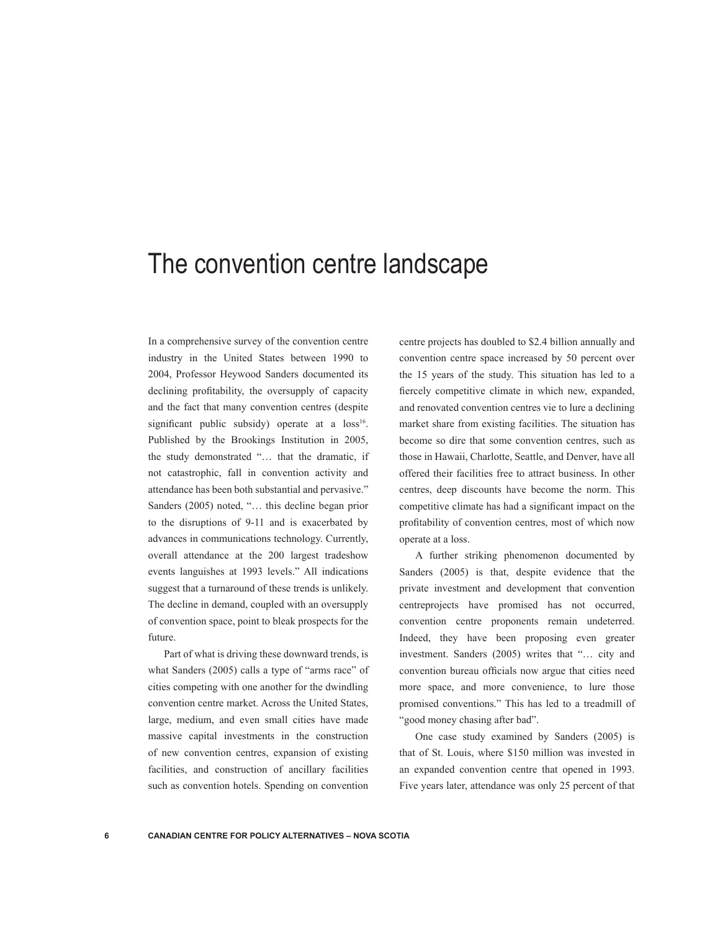## The convention centre landscape

In a comprehensive survey of the convention centre industry in the United States between 1990 to 2004, Professor Heywood Sanders documented its declining profitability, the oversupply of capacity and the fact that many convention centres (despite significant public subsidy) operate at a loss<sup>16</sup>. Published by the Brookings Institution in 2005, the study demonstrated "… that the dramatic, if not catastrophic, fall in convention activity and attendance has been both substantial and pervasive." Sanders (2005) noted, "… this decline began prior to the disruptions of 9-11 and is exacerbated by advances in communications technology. Currently, overall attendance at the 200 largest tradeshow events languishes at 1993 levels." All indications suggest that a turnaround of these trends is unlikely. The decline in demand, coupled with an oversupply of convention space, point to bleak prospects for the future.

Part of what is driving these downward trends, is what Sanders (2005) calls a type of "arms race" of cities competing with one another for the dwindling convention centre market. Across the United States, large, medium, and even small cities have made massive capital investments in the construction of new convention centres, expansion of existing facilities, and construction of ancillary facilities such as convention hotels. Spending on convention

centre projects has doubled to \$2.4 billion annually and convention centre space increased by 50 percent over the 15 years of the study. This situation has led to a fiercely competitive climate in which new, expanded, and renovated convention centres vie to lure a declining market share from existing facilities. The situation has become so dire that some convention centres, such as those in Hawaii, Charlotte, Seattle, and Denver, have all offered their facilities free to attract business. In other centres, deep discounts have become the norm. This competitive climate has had a significant impact on the profitability of convention centres, most of which now operate at a loss.

A further striking phenomenon documented by Sanders (2005) is that, despite evidence that the private investment and development that convention centreprojects have promised has not occurred, convention centre proponents remain undeterred. Indeed, they have been proposing even greater investment. Sanders (2005) writes that "… city and convention bureau officials now argue that cities need more space, and more convenience, to lure those promised conventions." This has led to a treadmill of "good money chasing after bad".

One case study examined by Sanders (2005) is that of St. Louis, where \$150 million was invested in an expanded convention centre that opened in 1993. Five years later, attendance was only 25 percent of that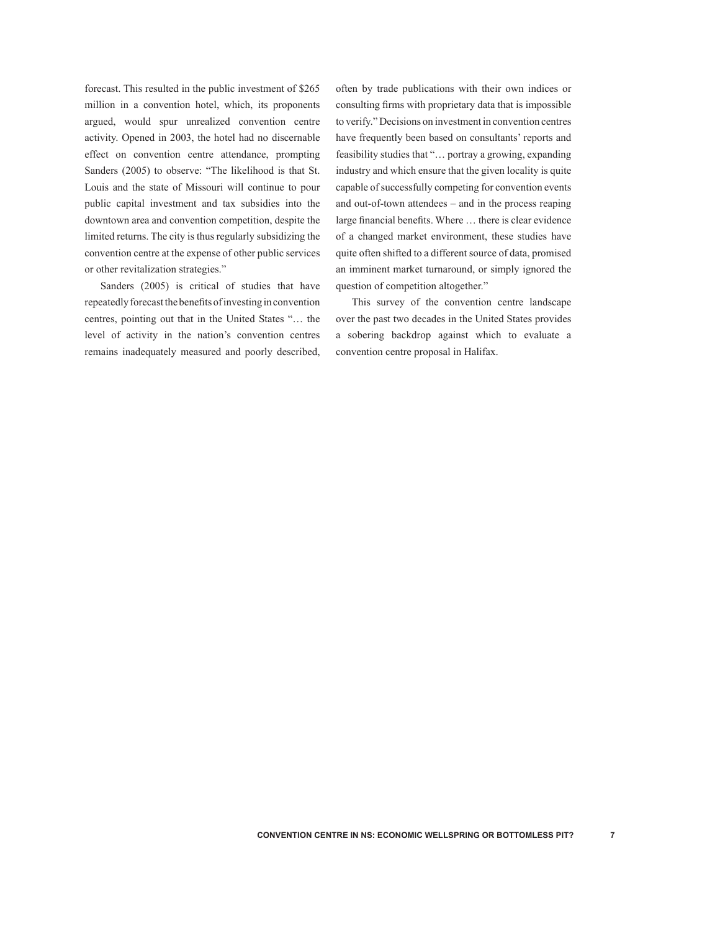forecast. This resulted in the public investment of \$265 million in a convention hotel, which, its proponents argued, would spur unrealized convention centre activity. Opened in 2003, the hotel had no discernable effect on convention centre attendance, prompting Sanders (2005) to observe: "The likelihood is that St. Louis and the state of Missouri will continue to pour public capital investment and tax subsidies into the downtown area and convention competition, despite the limited returns. The city is thus regularly subsidizing the convention centre at the expense of other public services or other revitalization strategies."

Sanders (2005) is critical of studies that have repeatedly forecast the benefits of investing in convention centres, pointing out that in the United States "… the level of activity in the nation's convention centres remains inadequately measured and poorly described, often by trade publications with their own indices or consulting firms with proprietary data that is impossible to verify." Decisions on investment in convention centres have frequently been based on consultants' reports and feasibility studies that "… portray a growing, expanding industry and which ensure that the given locality is quite capable of successfully competing for convention events and out-of-town attendees – and in the process reaping large financial benefits. Where … there is clear evidence of a changed market environment, these studies have quite often shifted to a different source of data, promised an imminent market turnaround, or simply ignored the question of competition altogether."

This survey of the convention centre landscape over the past two decades in the United States provides a sobering backdrop against which to evaluate a convention centre proposal in Halifax.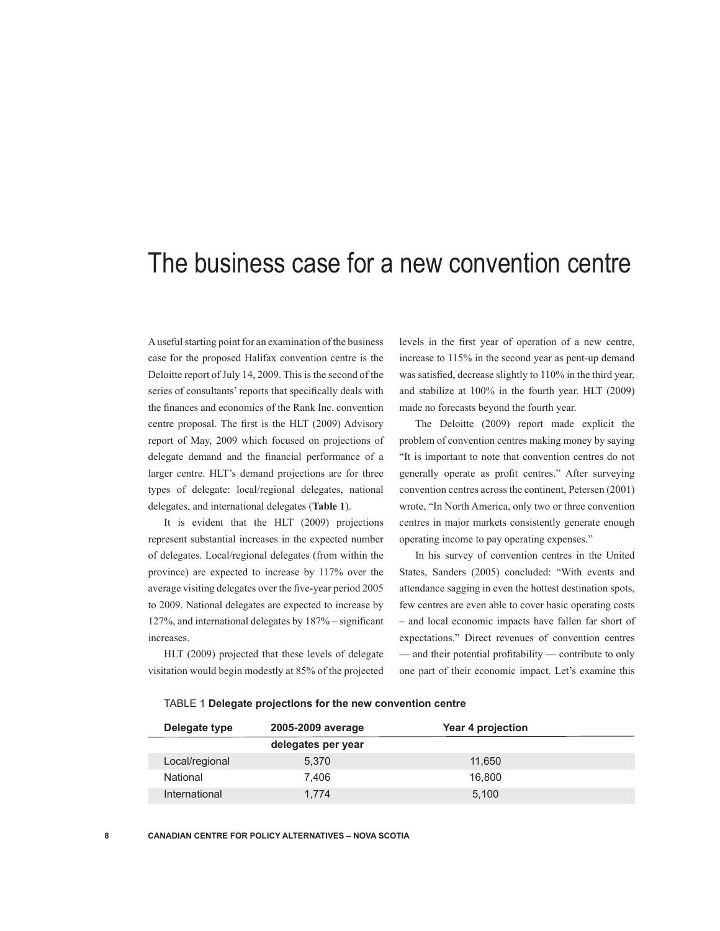## The business case for a new convention centre

A useful starting point for an examination of the business case for the proposed Halifax convention centre is the Deloitte report of July 14, 2009. This is the second of the series of consultants' reports that specifically deals with the finances and economics of the Rank Inc. convention centre proposal. The first is the HLT (2009) Advisory report of May, 2009 which focused on projections of delegate demand and the financial performance of a larger centre. HLT's demand projections are for three types of delegate: local/regional delegates, national delegates, and international delegates (**Table 1**).

It is evident that the HLT (2009) projections represent substantial increases in the expected number of delegates. Local/regional delegates (from within the province) are expected to increase by 117% over the average visiting delegates over the five-year period 2005 to 2009. National delegates are expected to increase by 127%, and international delegates by 187% – significant increases.

HLT (2009) projected that these levels of delegate visitation would begin modestly at 85% of the projected levels in the first year of operation of a new centre, increase to 115% in the second year as pent-up demand was satisfied, decrease slightly to 110% in the third year, and stabilize at 100% in the fourth year. HLT (2009) made no forecasts beyond the fourth year.

The Deloitte (2009) report made explicit the problem of convention centres making money by saying "It is important to note that convention centres do not generally operate as profit centres." After surveying convention centres across the continent, Petersen (2001) wrote, "In North America, only two or three convention centres in major markets consistently generate enough operating income to pay operating expenses."

In his survey of convention centres in the United States, Sanders (2005) concluded: "With events and attendance sagging in even the hottest destination spots, few centres are even able to cover basic operating costs – and local economic impacts have fallen far short of expectations." Direct revenues of convention centres –– and their potential profitability –– contribute to only one part of their economic impact. Let's examine this

#### TABLE 1 **Delegate projections for the new convention centre**

| Delegate type  | 2005-2009 average  | Year 4 projection |  |
|----------------|--------------------|-------------------|--|
|                | delegates per year |                   |  |
| Local/regional | 5.370              | 11.650            |  |
| National       | 7.406              | 16.800            |  |
| International  | 1.774              | 5.100             |  |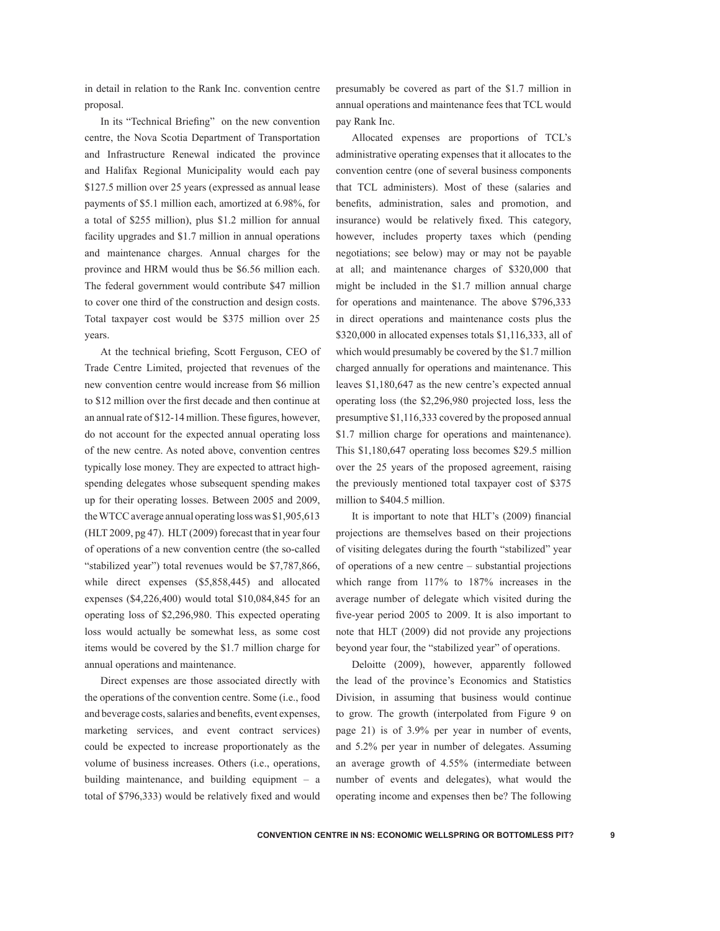in detail in relation to the Rank Inc. convention centre proposal.

In its "Technical Briefing" on the new convention centre, the Nova Scotia Department of Transportation and Infrastructure Renewal indicated the province and Halifax Regional Municipality would each pay \$127.5 million over 25 years (expressed as annual lease payments of \$5.1 million each, amortized at 6.98%, for a total of \$255 million), plus \$1.2 million for annual facility upgrades and \$1.7 million in annual operations and maintenance charges. Annual charges for the province and HRM would thus be \$6.56 million each. The federal government would contribute \$47 million to cover one third of the construction and design costs. Total taxpayer cost would be \$375 million over 25 years.

At the technical briefing, Scott Ferguson, CEO of Trade Centre Limited, projected that revenues of the new convention centre would increase from \$6 million to \$12 million over the first decade and then continue at an annual rate of \$12-14 million. These figures, however, do not account for the expected annual operating loss of the new centre. As noted above, convention centres typically lose money. They are expected to attract highspending delegates whose subsequent spending makes up for their operating losses. Between 2005 and 2009, the WTCC average annual operating loss was \$1,905,613 (HLT 2009, pg 47). HLT (2009) forecast that in year four of operations of a new convention centre (the so-called "stabilized year") total revenues would be \$7,787,866, while direct expenses (\$5,858,445) and allocated expenses (\$4,226,400) would total \$10,084,845 for an operating loss of \$2,296,980. This expected operating loss would actually be somewhat less, as some cost items would be covered by the \$1.7 million charge for annual operations and maintenance.

Direct expenses are those associated directly with the operations of the convention centre. Some (i.e., food and beverage costs, salaries and benefits, event expenses, marketing services, and event contract services) could be expected to increase proportionately as the volume of business increases. Others (i.e., operations, building maintenance, and building equipment – a total of \$796,333) would be relatively fixed and would presumably be covered as part of the \$1.7 million in annual operations and maintenance fees that TCL would pay Rank Inc.

Allocated expenses are proportions of TCL's administrative operating expenses that it allocates to the convention centre (one of several business components that TCL administers). Most of these (salaries and benefits, administration, sales and promotion, and insurance) would be relatively fixed. This category, however, includes property taxes which (pending negotiations; see below) may or may not be payable at all; and maintenance charges of \$320,000 that might be included in the \$1.7 million annual charge for operations and maintenance. The above \$796,333 in direct operations and maintenance costs plus the \$320,000 in allocated expenses totals \$1,116,333, all of which would presumably be covered by the \$1.7 million charged annually for operations and maintenance. This leaves \$1,180,647 as the new centre's expected annual operating loss (the \$2,296,980 projected loss, less the presumptive \$1,116,333 covered by the proposed annual \$1.7 million charge for operations and maintenance). This \$1,180,647 operating loss becomes \$29.5 million over the 25 years of the proposed agreement, raising the previously mentioned total taxpayer cost of \$375 million to \$404.5 million.

It is important to note that HLT's (2009) financial projections are themselves based on their projections of visiting delegates during the fourth "stabilized" year of operations of a new centre – substantial projections which range from 117% to 187% increases in the average number of delegate which visited during the five-year period 2005 to 2009. It is also important to note that HLT (2009) did not provide any projections beyond year four, the "stabilized year" of operations.

Deloitte (2009), however, apparently followed the lead of the province's Economics and Statistics Division, in assuming that business would continue to grow. The growth (interpolated from Figure 9 on page 21) is of 3.9% per year in number of events, and 5.2% per year in number of delegates. Assuming an average growth of 4.55% (intermediate between number of events and delegates), what would the operating income and expenses then be? The following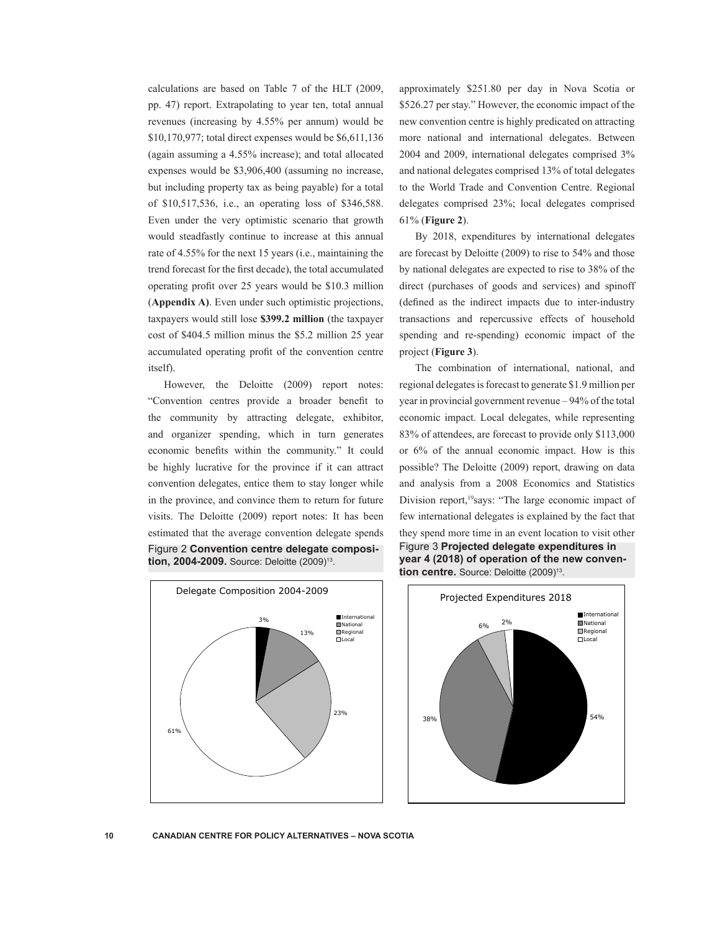calculations are based on Table 7 of the HLT (2009, pp. 47) report. Extrapolating to year ten, total annual revenues (increasing by 4.55% per annum) would be \$10,170,977; total direct expenses would be \$6,611,136 (again assuming a 4.55% increase); and total allocated expenses would be \$3,906,400 (assuming no increase, but including property tax as being payable) for a total of \$10,517,536, i.e., an operating loss of \$346,588. Even under the very optimistic scenario that growth would steadfastly continue to increase at this annual rate of 4.55% for the next 15 years (i.e., maintaining the trend forecast for the first decade), the total accumulated operating profit over 25 years would be \$10.3 million (**Appendix A)**. Even under such optimistic projections, taxpayers would still lose **\$399.2 million** (the taxpayer cost of \$404.5 million minus the \$5.2 million 25 year accumulated operating profit of the convention centre itself).

However, the Deloitte (2009) report notes: "Convention centres provide a broader benefit to the community by attracting delegate, exhibitor, and organizer spending, which in turn generates economic benefits within the community." It could be highly lucrative for the province if it can attract convention delegates, entice them to stay longer while in the province, and convince them to return for future visits. The Deloitte (2009) report notes: It has been estimated that the average convention delegate spends Figure 2 **Convention centre delegate composition, 2004-2009.** Source: Deloitte (2009)13.



approximately \$251.80 per day in Nova Scotia or \$526.27 per stay." However, the economic impact of the new convention centre is highly predicated on attracting more national and international delegates. Between 2004 and 2009, international delegates comprised 3% and national delegates comprised 13% of total delegates to the World Trade and Convention Centre. Regional delegates comprised 23%; local delegates comprised 61% (**Figure 2**).

By 2018, expenditures by international delegates are forecast by Deloitte (2009) to rise to 54% and those by national delegates are expected to rise to 38% of the direct (purchases of goods and services) and spinoff (defined as the indirect impacts due to inter-industry transactions and repercussive effects of household spending and re-spending) economic impact of the project (**Figure 3**).

The combination of international, national, and regional delegates is forecast to generate \$1.9 million per year in provincial government revenue – 94% of the total economic impact. Local delegates, while representing 83% of attendees, are forecast to provide only \$113,000 or 6% of the annual economic impact. How is this possible? The Deloitte (2009) report, drawing on data and analysis from a 2008 Economics and Statistics Division report,<sup>19</sup>says: "The large economic impact of few international delegates is explained by the fact that they spend more time in an event location to visit other Figure 3 **Projected delegate expenditures in year 4 (2018) of operation of the new convention centre.** Source: Deloitte (2009)<sup>13</sup>.

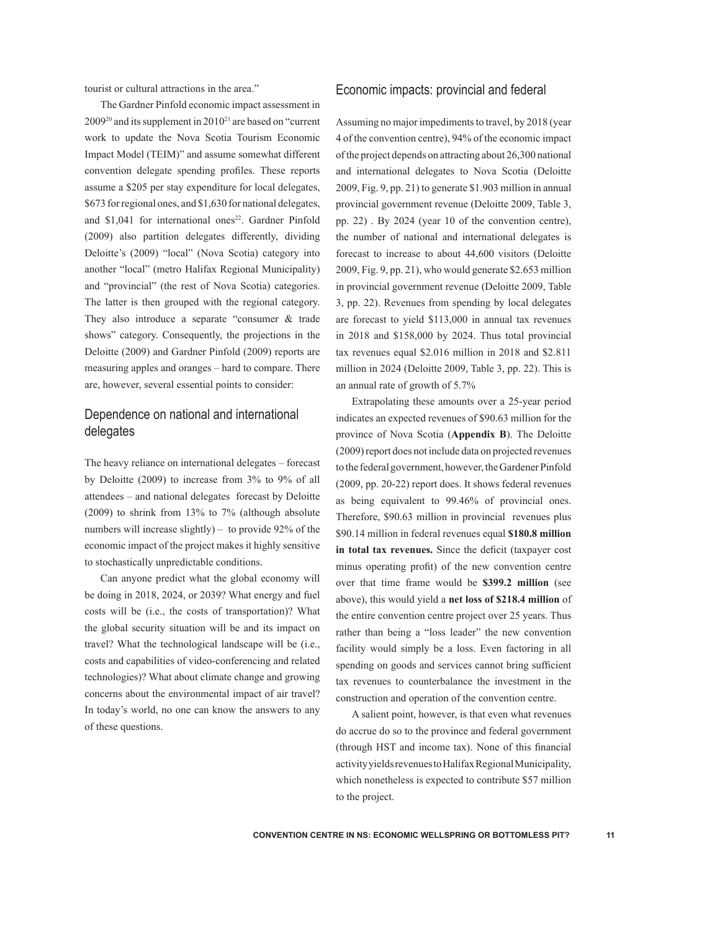tourist or cultural attractions in the area."

The Gardner Pinfold economic impact assessment in  $2009^{20}$  and its supplement in  $2010^{21}$  are based on "current" work to update the Nova Scotia Tourism Economic Impact Model (TEIM)" and assume somewhat different convention delegate spending profiles. These reports assume a \$205 per stay expenditure for local delegates, \$673 for regional ones, and \$1,630 for national delegates, and  $$1,041$  for international ones<sup>22</sup>. Gardner Pinfold (2009) also partition delegates differently, dividing Deloitte's (2009) "local" (Nova Scotia) category into another "local" (metro Halifax Regional Municipality) and "provincial" (the rest of Nova Scotia) categories. The latter is then grouped with the regional category. They also introduce a separate "consumer & trade shows" category. Consequently, the projections in the Deloitte (2009) and Gardner Pinfold (2009) reports are measuring apples and oranges – hard to compare. There are, however, several essential points to consider:

## Dependence on national and international delegates

The heavy reliance on international delegates – forecast by Deloitte (2009) to increase from 3% to 9% of all attendees – and national delegates forecast by Deloitte (2009) to shrink from 13% to 7% (although absolute numbers will increase slightly) – to provide 92% of the economic impact of the project makes it highly sensitive to stochastically unpredictable conditions.

Can anyone predict what the global economy will be doing in 2018, 2024, or 2039? What energy and fuel costs will be (i.e., the costs of transportation)? What the global security situation will be and its impact on travel? What the technological landscape will be (i.e., costs and capabilities of video-conferencing and related technologies)? What about climate change and growing concerns about the environmental impact of air travel? In today's world, no one can know the answers to any of these questions.

## Economic impacts: provincial and federal

Assuming no major impediments to travel, by 2018 (year 4 of the convention centre), 94% of the economic impact of the project depends on attracting about 26,300 national and international delegates to Nova Scotia (Deloitte 2009, Fig. 9, pp. 21) to generate \$1.903 million in annual provincial government revenue (Deloitte 2009, Table 3, pp. 22) . By 2024 (year 10 of the convention centre), the number of national and international delegates is forecast to increase to about 44,600 visitors (Deloitte 2009, Fig. 9, pp. 21), who would generate \$2.653 million in provincial government revenue (Deloitte 2009, Table 3, pp. 22). Revenues from spending by local delegates are forecast to yield \$113,000 in annual tax revenues in 2018 and \$158,000 by 2024. Thus total provincial tax revenues equal \$2.016 million in 2018 and \$2.811 million in 2024 (Deloitte 2009, Table 3, pp. 22). This is an annual rate of growth of 5.7%

Extrapolating these amounts over a 25-year period indicates an expected revenues of \$90.63 million for the province of Nova Scotia (**Appendix B**). The Deloitte (2009) report does not include data on projected revenues to the federal government, however, the Gardener Pinfold (2009, pp. 20-22) report does. It shows federal revenues as being equivalent to 99.46% of provincial ones. Therefore, \$90.63 million in provincial revenues plus \$90.14 million in federal revenues equal **\$180.8 million in total tax revenues.** Since the deficit (taxpayer cost minus operating profit) of the new convention centre over that time frame would be **\$399.2 million** (see above), this would yield a **net loss of \$218.4 million** of the entire convention centre project over 25 years. Thus rather than being a "loss leader" the new convention facility would simply be a loss. Even factoring in all spending on goods and services cannot bring sufficient tax revenues to counterbalance the investment in the construction and operation of the convention centre.

A salient point, however, is that even what revenues do accrue do so to the province and federal government (through HST and income tax). None of this financial activity yields revenues to Halifax Regional Municipality, which nonetheless is expected to contribute \$57 million to the project.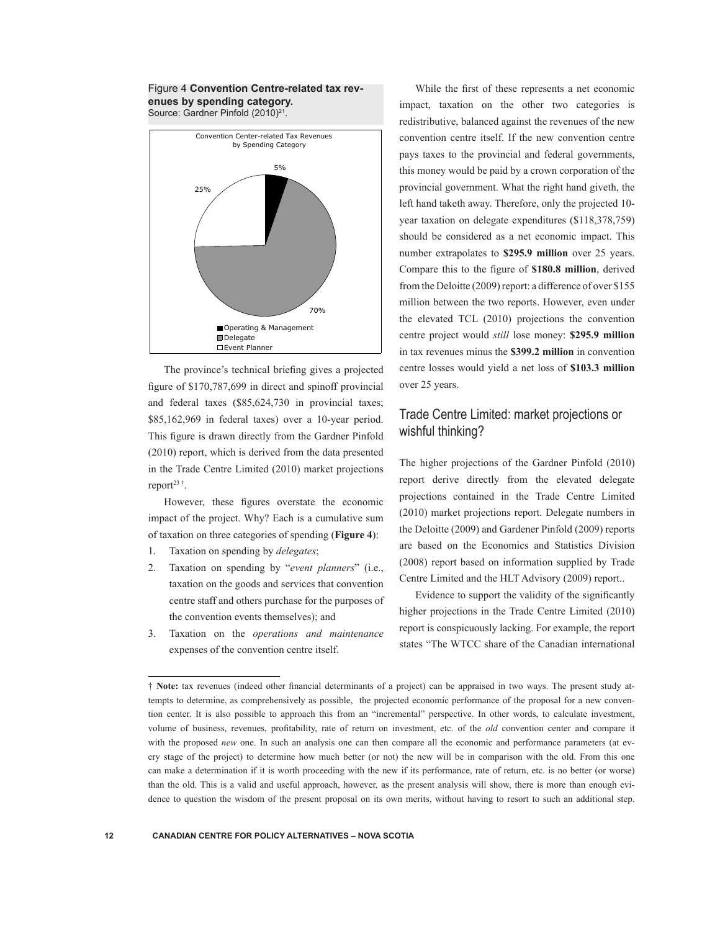## Figure 4 **Convention Centre-related tax revenues by spending category.**

Source: Gardner Pinfold (2010)<sup>21</sup>.



The province's technical briefing gives a projected figure of \$170,787,699 in direct and spinoff provincial and federal taxes (\$85,624,730 in provincial taxes; \$85,162,969 in federal taxes) over a 10-year period. This figure is drawn directly from the Gardner Pinfold (2010) report, which is derived from the data presented in the Trade Centre Limited (2010) market projections report $23$ <sup>†</sup>.

However, these figures overstate the economic impact of the project. Why? Each is a cumulative sum of taxation on three categories of spending (**Figure 4**):

- 1. Taxation on spending by *delegates*;
- 2. Taxation on spending by "*event planners*" (i.e., taxation on the goods and services that convention centre staff and others purchase for the purposes of the convention events themselves); and
- 3. Taxation on the *operations and maintenance* expenses of the convention centre itself.

While the first of these represents a net economic impact, taxation on the other two categories is redistributive, balanced against the revenues of the new convention centre itself. If the new convention centre pays taxes to the provincial and federal governments, this money would be paid by a crown corporation of the provincial government. What the right hand giveth, the left hand taketh away. Therefore, only the projected 10 year taxation on delegate expenditures (\$118,378,759) should be considered as a net economic impact. This number extrapolates to **\$295.9 million** over 25 years. Compare this to the figure of **\$180.8 million**, derived from the Deloitte (2009) report: a difference of over \$155 million between the two reports. However, even under the elevated TCL (2010) projections the convention centre project would *still* lose money: **\$295.9 million** in tax revenues minus the **\$399.2 million** in convention centre losses would yield a net loss of **\$103.3 million** over 25 years.

## Trade Centre Limited: market projections or wishful thinking?

The higher projections of the Gardner Pinfold (2010) report derive directly from the elevated delegate projections contained in the Trade Centre Limited (2010) market projections report. Delegate numbers in the Deloitte (2009) and Gardener Pinfold (2009) reports are based on the Economics and Statistics Division (2008) report based on information supplied by Trade Centre Limited and the HLT Advisory (2009) report..

Evidence to support the validity of the significantly higher projections in the Trade Centre Limited (2010) report is conspicuously lacking. For example, the report states "The WTCC share of the Canadian international

<sup>†</sup> **Note:** tax revenues (indeed other financial determinants of a project) can be appraised in two ways. The present study attempts to determine, as comprehensively as possible, the projected economic performance of the proposal for a new convention center. It is also possible to approach this from an "incremental" perspective. In other words, to calculate investment, volume of business, revenues, profitability, rate of return on investment, etc. of the *old* convention center and compare it with the proposed *new* one. In such an analysis one can then compare all the economic and performance parameters (at every stage of the project) to determine how much better (or not) the new will be in comparison with the old. From this one can make a determination if it is worth proceeding with the new if its performance, rate of return, etc. is no better (or worse) than the old. This is a valid and useful approach, however, as the present analysis will show, there is more than enough evidence to question the wisdom of the present proposal on its own merits, without having to resort to such an additional step.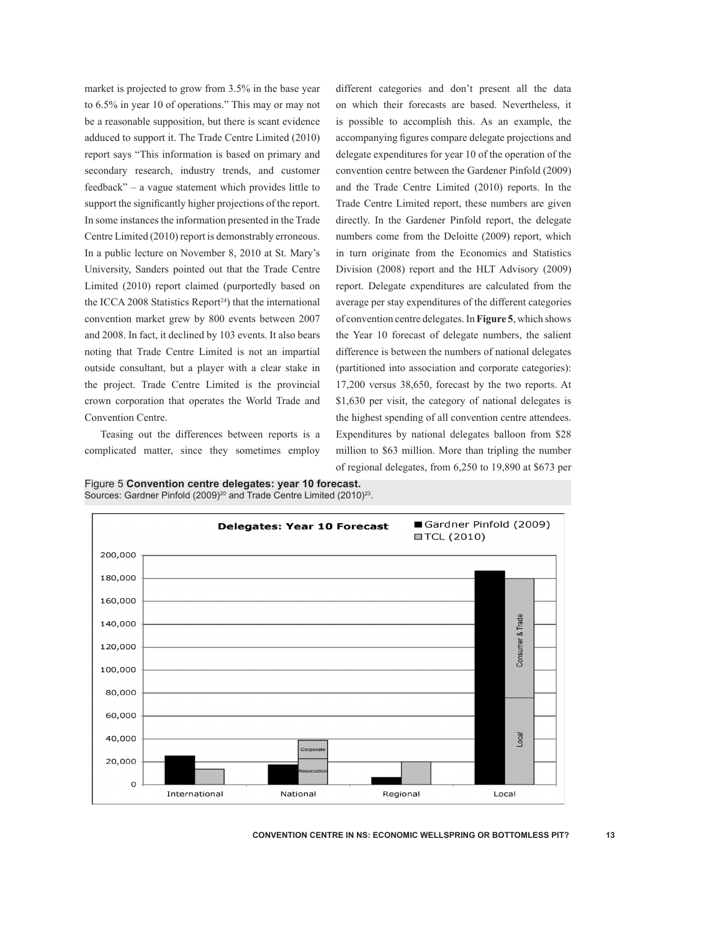market is projected to grow from 3.5% in the base year to 6.5% in year 10 of operations." This may or may not be a reasonable supposition, but there is scant evidence adduced to support it. The Trade Centre Limited (2010) report says "This information is based on primary and secondary research, industry trends, and customer feedback" – a vague statement which provides little to support the significantly higher projections of the report. In some instances the information presented in the Trade Centre Limited (2010) report is demonstrably erroneous. In a public lecture on November 8, 2010 at St. Mary's University, Sanders pointed out that the Trade Centre Limited (2010) report claimed (purportedly based on the ICCA 2008 Statistics Report<sup>24</sup>) that the international convention market grew by 800 events between 2007 and 2008. In fact, it declined by 103 events. It also bears noting that Trade Centre Limited is not an impartial outside consultant, but a player with a clear stake in the project. Trade Centre Limited is the provincial crown corporation that operates the World Trade and Convention Centre.

Teasing out the differences between reports is a complicated matter, since they sometimes employ different categories and don't present all the data on which their forecasts are based. Nevertheless, it is possible to accomplish this. As an example, the accompanying figures compare delegate projections and delegate expenditures for year 10 of the operation of the convention centre between the Gardener Pinfold (2009) and the Trade Centre Limited (2010) reports. In the Trade Centre Limited report, these numbers are given directly. In the Gardener Pinfold report, the delegate numbers come from the Deloitte (2009) report, which in turn originate from the Economics and Statistics Division (2008) report and the HLT Advisory (2009) report. Delegate expenditures are calculated from the average per stay expenditures of the different categories of convention centre delegates. In **Figure 5**, which shows the Year 10 forecast of delegate numbers, the salient difference is between the numbers of national delegates (partitioned into association and corporate categories): 17,200 versus 38,650, forecast by the two reports. At \$1,630 per visit, the category of national delegates is the highest spending of all convention centre attendees. Expenditures by national delegates balloon from \$28 million to \$63 million. More than tripling the number of regional delegates, from 6,250 to 19,890 at \$673 per



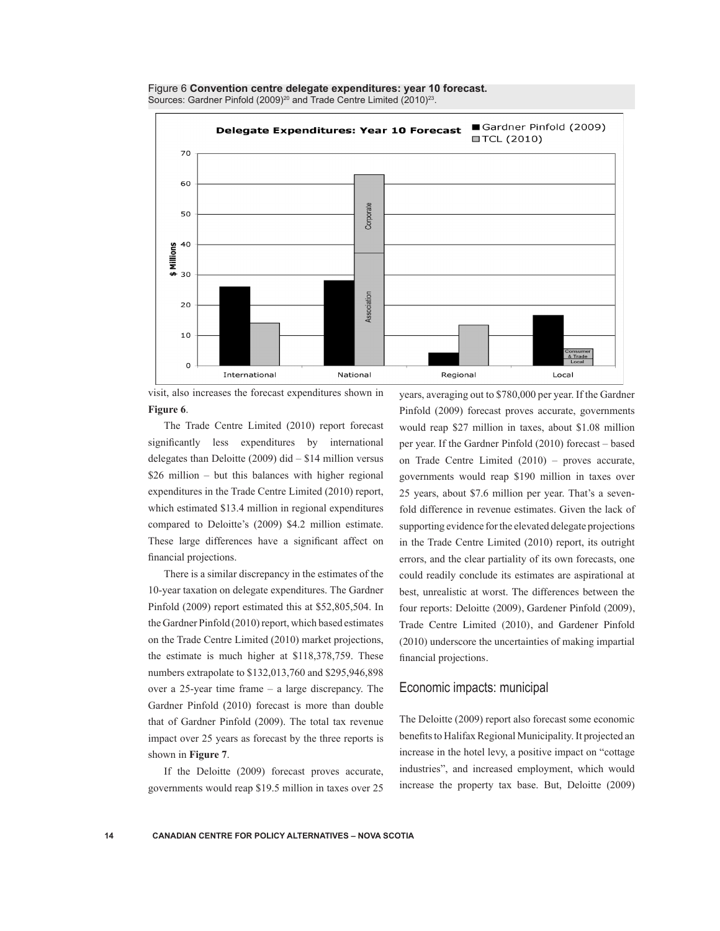



visit, also increases the forecast expenditures shown in **Figure 6**.

The Trade Centre Limited (2010) report forecast significantly less expenditures by international delegates than Deloitte  $(2009)$  did  $- $14$  million versus \$26 million – but this balances with higher regional expenditures in the Trade Centre Limited (2010) report, which estimated \$13.4 million in regional expenditures compared to Deloitte's (2009) \$4.2 million estimate. These large differences have a significant affect on financial projections.

There is a similar discrepancy in the estimates of the 10-year taxation on delegate expenditures. The Gardner Pinfold (2009) report estimated this at \$52,805,504. In the Gardner Pinfold (2010) report, which based estimates on the Trade Centre Limited (2010) market projections, the estimate is much higher at \$118,378,759. These numbers extrapolate to \$132,013,760 and \$295,946,898 over a 25-year time frame – a large discrepancy. The Gardner Pinfold (2010) forecast is more than double that of Gardner Pinfold (2009). The total tax revenue impact over 25 years as forecast by the three reports is shown in **Figure 7**.

If the Deloitte (2009) forecast proves accurate, governments would reap \$19.5 million in taxes over 25 years, averaging out to \$780,000 per year. If the Gardner Pinfold (2009) forecast proves accurate, governments would reap \$27 million in taxes, about \$1.08 million per year. If the Gardner Pinfold (2010) forecast – based on Trade Centre Limited (2010) – proves accurate, governments would reap \$190 million in taxes over 25 years, about \$7.6 million per year. That's a sevenfold difference in revenue estimates. Given the lack of supporting evidence for the elevated delegate projections in the Trade Centre Limited (2010) report, its outright errors, and the clear partiality of its own forecasts, one could readily conclude its estimates are aspirational at best, unrealistic at worst. The differences between the four reports: Deloitte (2009), Gardener Pinfold (2009), Trade Centre Limited (2010), and Gardener Pinfold (2010) underscore the uncertainties of making impartial financial projections.

#### Economic impacts: municipal

The Deloitte (2009) report also forecast some economic benefits to Halifax Regional Municipality. It projected an increase in the hotel levy, a positive impact on "cottage industries", and increased employment, which would increase the property tax base. But, Deloitte (2009)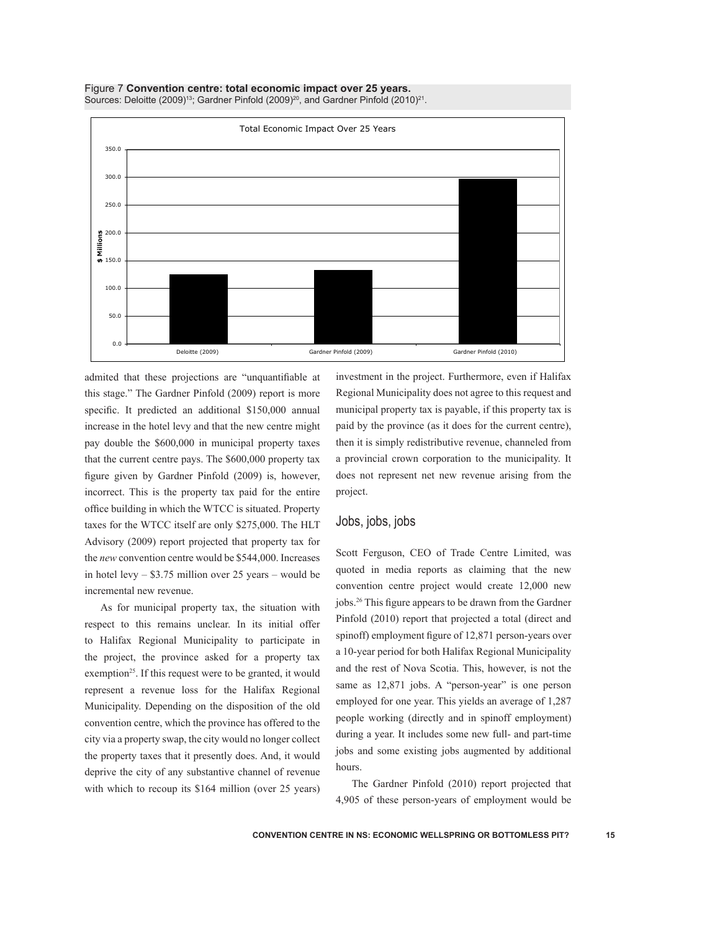



admited that these projections are "unquantifiable at this stage." The Gardner Pinfold (2009) report is more specific. It predicted an additional \$150,000 annual increase in the hotel levy and that the new centre might pay double the \$600,000 in municipal property taxes that the current centre pays. The \$600,000 property tax figure given by Gardner Pinfold (2009) is, however, incorrect. This is the property tax paid for the entire office building in which the WTCC is situated. Property taxes for the WTCC itself are only \$275,000. The HLT Advisory (2009) report projected that property tax for the *new* convention centre would be \$544,000. Increases in hotel levy – \$3.75 million over 25 years – would be incremental new revenue.

As for municipal property tax, the situation with respect to this remains unclear. In its initial offer to Halifax Regional Municipality to participate in the project, the province asked for a property tax exemption<sup>25</sup>. If this request were to be granted, it would represent a revenue loss for the Halifax Regional Municipality. Depending on the disposition of the old convention centre, which the province has offered to the city via a property swap, the city would no longer collect the property taxes that it presently does. And, it would deprive the city of any substantive channel of revenue with which to recoup its \$164 million (over 25 years) investment in the project. Furthermore, even if Halifax Regional Municipality does not agree to this request and municipal property tax is payable, if this property tax is paid by the province (as it does for the current centre), then it is simply redistributive revenue, channeled from a provincial crown corporation to the municipality. It does not represent net new revenue arising from the project.

#### Jobs, jobs, jobs

Scott Ferguson, CEO of Trade Centre Limited, was quoted in media reports as claiming that the new convention centre project would create 12,000 new jobs.26 This figure appears to be drawn from the Gardner Pinfold (2010) report that projected a total (direct and spinoff) employment figure of 12,871 person-years over a 10-year period for both Halifax Regional Municipality and the rest of Nova Scotia. This, however, is not the same as 12,871 jobs. A "person-year" is one person employed for one year. This yields an average of 1,287 people working (directly and in spinoff employment) during a year. It includes some new full- and part-time jobs and some existing jobs augmented by additional hours.

The Gardner Pinfold (2010) report projected that 4,905 of these person-years of employment would be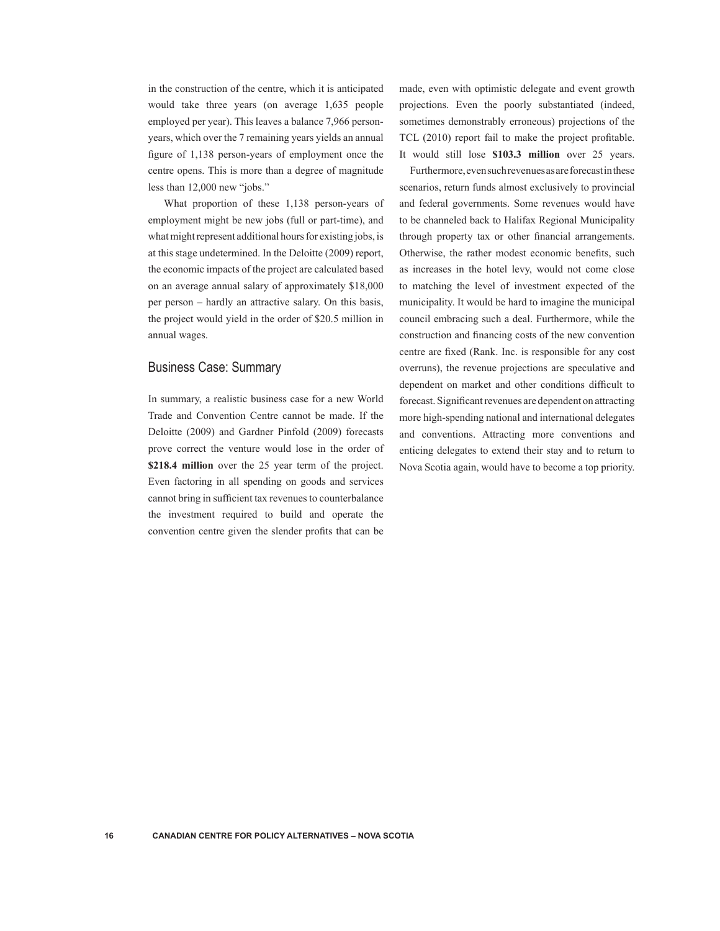in the construction of the centre, which it is anticipated would take three years (on average 1,635 people employed per year). This leaves a balance 7,966 personyears, which over the 7 remaining years yields an annual figure of 1,138 person-years of employment once the centre opens. This is more than a degree of magnitude less than 12,000 new "jobs."

What proportion of these 1,138 person-years of employment might be new jobs (full or part-time), and what might represent additional hours for existing jobs, is at this stage undetermined. In the Deloitte (2009) report, the economic impacts of the project are calculated based on an average annual salary of approximately \$18,000 per person – hardly an attractive salary. On this basis, the project would yield in the order of \$20.5 million in annual wages.

## Business Case: Summary

In summary, a realistic business case for a new World Trade and Convention Centre cannot be made. If the Deloitte (2009) and Gardner Pinfold (2009) forecasts prove correct the venture would lose in the order of **\$218.4 million** over the 25 year term of the project. Even factoring in all spending on goods and services cannot bring in sufficient tax revenues to counterbalance the investment required to build and operate the convention centre given the slender profits that can be

made, even with optimistic delegate and event growth projections. Even the poorly substantiated (indeed, sometimes demonstrably erroneous) projections of the TCL (2010) report fail to make the project profitable. It would still lose **\$103.3 million** over 25 years.

Furthermore, even such revenues as are forecast in these scenarios, return funds almost exclusively to provincial and federal governments. Some revenues would have to be channeled back to Halifax Regional Municipality through property tax or other financial arrangements. Otherwise, the rather modest economic benefits, such as increases in the hotel levy, would not come close to matching the level of investment expected of the municipality. It would be hard to imagine the municipal council embracing such a deal. Furthermore, while the construction and financing costs of the new convention centre are fixed (Rank. Inc. is responsible for any cost overruns), the revenue projections are speculative and dependent on market and other conditions difficult to forecast. Significant revenues are dependent on attracting more high-spending national and international delegates and conventions. Attracting more conventions and enticing delegates to extend their stay and to return to Nova Scotia again, would have to become a top priority.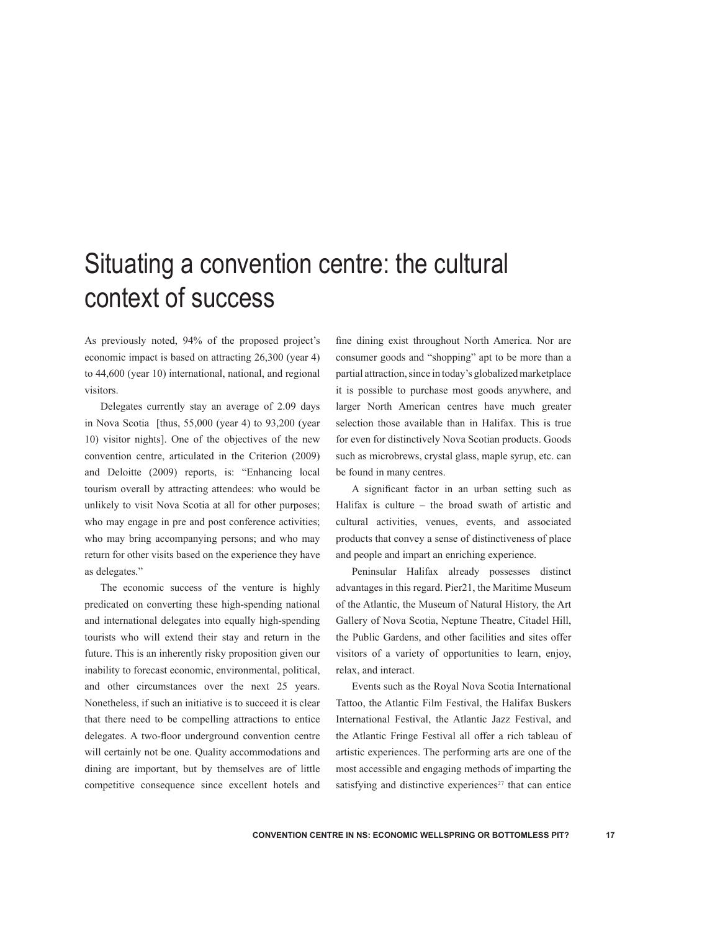## Situating a convention centre: the cultural context of success

As previously noted, 94% of the proposed project's economic impact is based on attracting 26,300 (year 4) to 44,600 (year 10) international, national, and regional visitors.

Delegates currently stay an average of 2.09 days in Nova Scotia [thus,  $55,000$  (year 4) to  $93,200$  (year 10) visitor nights]. One of the objectives of the new convention centre, articulated in the Criterion (2009) and Deloitte (2009) reports, is: "Enhancing local tourism overall by attracting attendees: who would be unlikely to visit Nova Scotia at all for other purposes; who may engage in pre and post conference activities; who may bring accompanying persons; and who may return for other visits based on the experience they have as delegates."

The economic success of the venture is highly predicated on converting these high-spending national and international delegates into equally high-spending tourists who will extend their stay and return in the future. This is an inherently risky proposition given our inability to forecast economic, environmental, political, and other circumstances over the next 25 years. Nonetheless, if such an initiative is to succeed it is clear that there need to be compelling attractions to entice delegates. A two-floor underground convention centre will certainly not be one. Quality accommodations and dining are important, but by themselves are of little competitive consequence since excellent hotels and fine dining exist throughout North America. Nor are consumer goods and "shopping" apt to be more than a partial attraction, since in today's globalized marketplace it is possible to purchase most goods anywhere, and larger North American centres have much greater selection those available than in Halifax. This is true for even for distinctively Nova Scotian products. Goods such as microbrews, crystal glass, maple syrup, etc. can be found in many centres.

A significant factor in an urban setting such as Halifax is culture – the broad swath of artistic and cultural activities, venues, events, and associated products that convey a sense of distinctiveness of place and people and impart an enriching experience.

Peninsular Halifax already possesses distinct advantages in this regard. Pier21, the Maritime Museum of the Atlantic, the Museum of Natural History, the Art Gallery of Nova Scotia, Neptune Theatre, Citadel Hill, the Public Gardens, and other facilities and sites offer visitors of a variety of opportunities to learn, enjoy, relax, and interact.

Events such as the Royal Nova Scotia International Tattoo, the Atlantic Film Festival, the Halifax Buskers International Festival, the Atlantic Jazz Festival, and the Atlantic Fringe Festival all offer a rich tableau of artistic experiences. The performing arts are one of the most accessible and engaging methods of imparting the satisfying and distinctive experiences<sup>27</sup> that can entice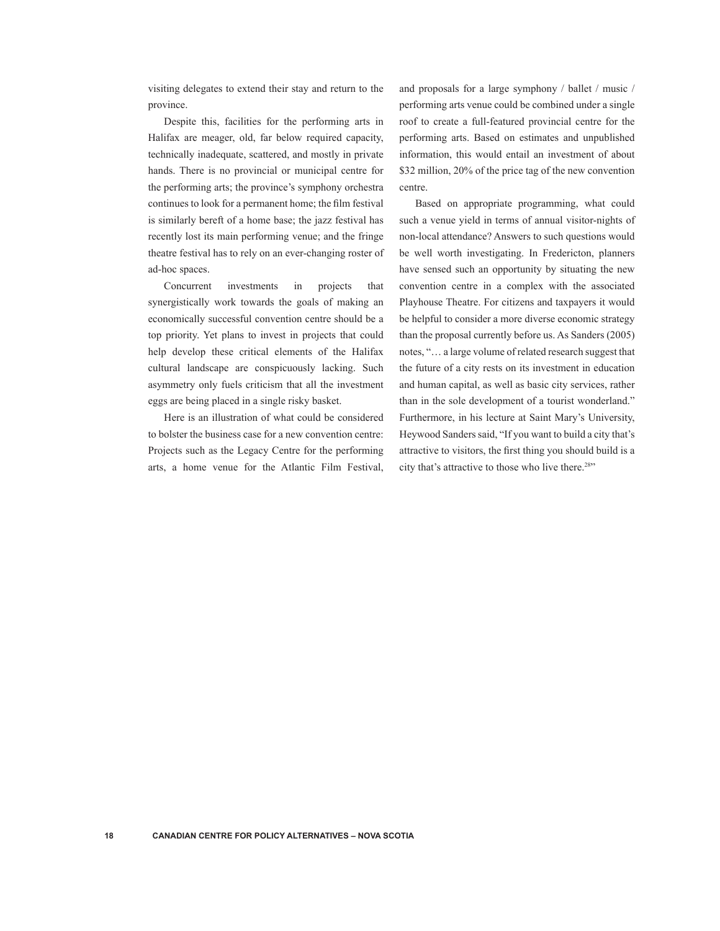visiting delegates to extend their stay and return to the province.

Despite this, facilities for the performing arts in Halifax are meager, old, far below required capacity, technically inadequate, scattered, and mostly in private hands. There is no provincial or municipal centre for the performing arts; the province's symphony orchestra continues to look for a permanent home; the film festival is similarly bereft of a home base; the jazz festival has recently lost its main performing venue; and the fringe theatre festival has to rely on an ever-changing roster of ad-hoc spaces.

Concurrent investments in projects that synergistically work towards the goals of making an economically successful convention centre should be a top priority. Yet plans to invest in projects that could help develop these critical elements of the Halifax cultural landscape are conspicuously lacking. Such asymmetry only fuels criticism that all the investment eggs are being placed in a single risky basket.

Here is an illustration of what could be considered to bolster the business case for a new convention centre: Projects such as the Legacy Centre for the performing arts, a home venue for the Atlantic Film Festival, and proposals for a large symphony / ballet / music / performing arts venue could be combined under a single roof to create a full-featured provincial centre for the performing arts. Based on estimates and unpublished information, this would entail an investment of about \$32 million, 20% of the price tag of the new convention centre.

Based on appropriate programming, what could such a venue yield in terms of annual visitor-nights of non-local attendance? Answers to such questions would be well worth investigating. In Fredericton, planners have sensed such an opportunity by situating the new convention centre in a complex with the associated Playhouse Theatre. For citizens and taxpayers it would be helpful to consider a more diverse economic strategy than the proposal currently before us. As Sanders (2005) notes, "… a large volume of related research suggest that the future of a city rests on its investment in education and human capital, as well as basic city services, rather than in the sole development of a tourist wonderland." Furthermore, in his lecture at Saint Mary's University, Heywood Sanders said, "If you want to build a city that's attractive to visitors, the first thing you should build is a city that's attractive to those who live there.<sup>28"</sup>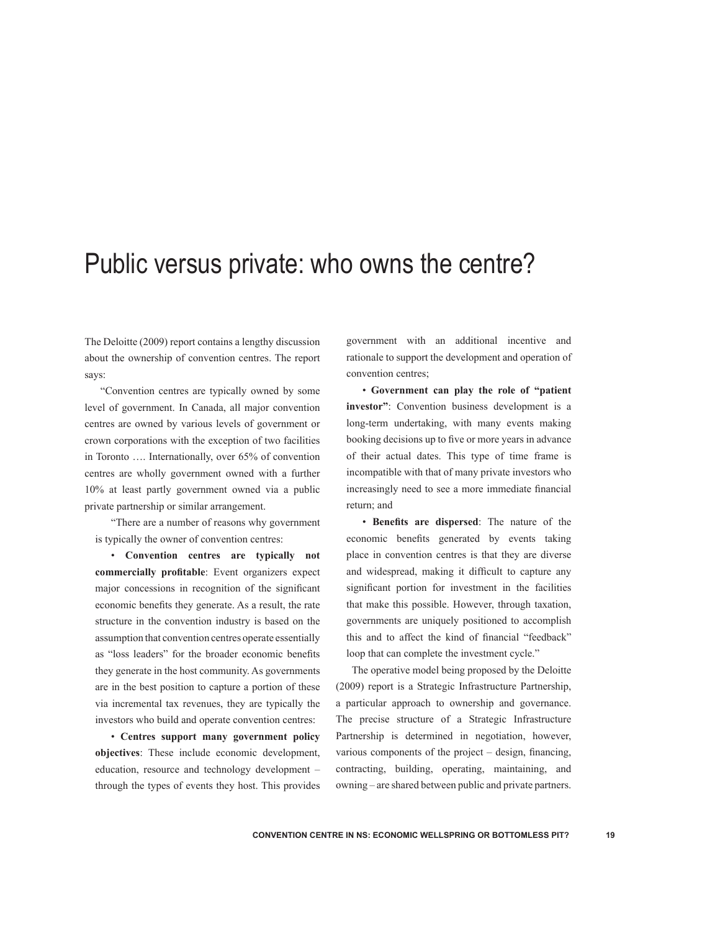## Public versus private: who owns the centre?

The Deloitte (2009) report contains a lengthy discussion about the ownership of convention centres. The report says:

"Convention centres are typically owned by some level of government. In Canada, all major convention centres are owned by various levels of government or crown corporations with the exception of two facilities in Toronto …. Internationally, over 65% of convention centres are wholly government owned with a further 10% at least partly government owned via a public private partnership or similar arrangement.

"There are a number of reasons why government is typically the owner of convention centres:

• **Convention centres are typically not commercially profitable**: Event organizers expect major concessions in recognition of the significant economic benefits they generate. As a result, the rate structure in the convention industry is based on the assumption that convention centres operate essentially as "loss leaders" for the broader economic benefits they generate in the host community. As governments are in the best position to capture a portion of these via incremental tax revenues, they are typically the investors who build and operate convention centres:

• **Centres support many government policy objectives**: These include economic development, education, resource and technology development – through the types of events they host. This provides government with an additional incentive and rationale to support the development and operation of convention centres;

• **Government can play the role of "patient investor"**: Convention business development is a long-term undertaking, with many events making booking decisions up to five or more years in advance of their actual dates. This type of time frame is incompatible with that of many private investors who increasingly need to see a more immediate financial return; and

• **Benefits are dispersed**: The nature of the economic benefits generated by events taking place in convention centres is that they are diverse and widespread, making it difficult to capture any significant portion for investment in the facilities that make this possible. However, through taxation, governments are uniquely positioned to accomplish this and to affect the kind of financial "feedback" loop that can complete the investment cycle."

The operative model being proposed by the Deloitte (2009) report is a Strategic Infrastructure Partnership, a particular approach to ownership and governance. The precise structure of a Strategic Infrastructure Partnership is determined in negotiation, however, various components of the project – design, financing, contracting, building, operating, maintaining, and owning – are shared between public and private partners.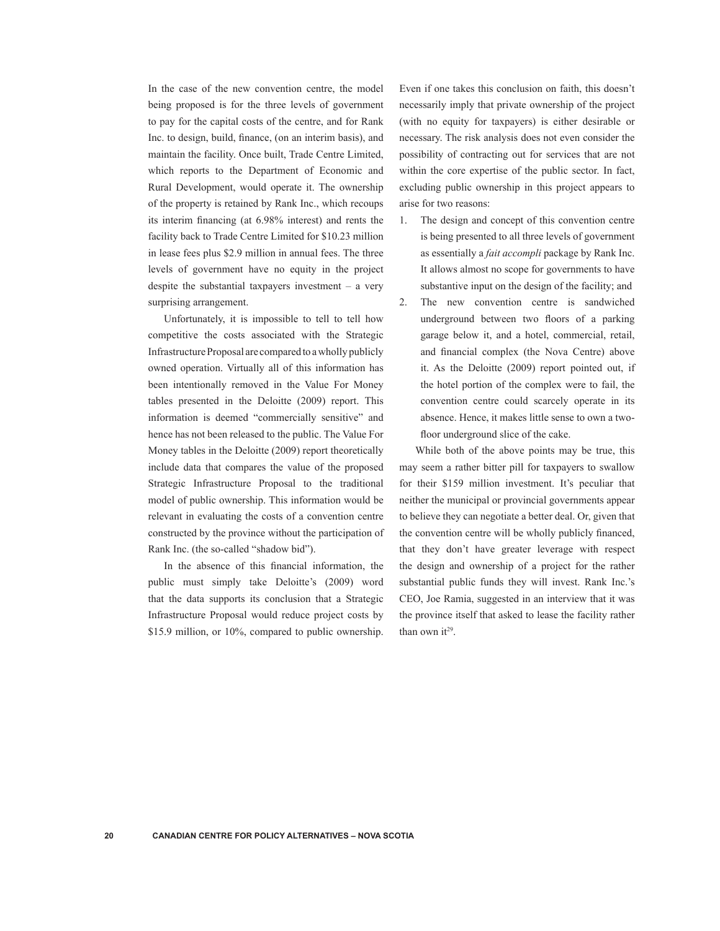In the case of the new convention centre, the model being proposed is for the three levels of government to pay for the capital costs of the centre, and for Rank Inc. to design, build, finance, (on an interim basis), and maintain the facility. Once built, Trade Centre Limited, which reports to the Department of Economic and Rural Development, would operate it. The ownership of the property is retained by Rank Inc., which recoups its interim financing (at 6.98% interest) and rents the facility back to Trade Centre Limited for \$10.23 million in lease fees plus \$2.9 million in annual fees. The three levels of government have no equity in the project despite the substantial taxpayers investment – a very surprising arrangement.

Unfortunately, it is impossible to tell to tell how competitive the costs associated with the Strategic Infrastructure Proposal are compared to a wholly publicly owned operation. Virtually all of this information has been intentionally removed in the Value For Money tables presented in the Deloitte (2009) report. This information is deemed "commercially sensitive" and hence has not been released to the public. The Value For Money tables in the Deloitte (2009) report theoretically include data that compares the value of the proposed Strategic Infrastructure Proposal to the traditional model of public ownership. This information would be relevant in evaluating the costs of a convention centre constructed by the province without the participation of Rank Inc. (the so-called "shadow bid").

In the absence of this financial information, the public must simply take Deloitte's (2009) word that the data supports its conclusion that a Strategic Infrastructure Proposal would reduce project costs by \$15.9 million, or 10%, compared to public ownership.

Even if one takes this conclusion on faith, this doesn't necessarily imply that private ownership of the project (with no equity for taxpayers) is either desirable or necessary. The risk analysis does not even consider the possibility of contracting out for services that are not within the core expertise of the public sector. In fact, excluding public ownership in this project appears to arise for two reasons:

- 1. The design and concept of this convention centre is being presented to all three levels of government as essentially a *fait accompli* package by Rank Inc. It allows almost no scope for governments to have substantive input on the design of the facility; and
- 2. The new convention centre is sandwiched underground between two floors of a parking garage below it, and a hotel, commercial, retail, and financial complex (the Nova Centre) above it. As the Deloitte (2009) report pointed out, if the hotel portion of the complex were to fail, the convention centre could scarcely operate in its absence. Hence, it makes little sense to own a twofloor underground slice of the cake.

While both of the above points may be true, this may seem a rather bitter pill for taxpayers to swallow for their \$159 million investment. It's peculiar that neither the municipal or provincial governments appear to believe they can negotiate a better deal. Or, given that the convention centre will be wholly publicly financed, that they don't have greater leverage with respect the design and ownership of a project for the rather substantial public funds they will invest. Rank Inc.'s CEO, Joe Ramia, suggested in an interview that it was the province itself that asked to lease the facility rather than own  $it^{29}$ .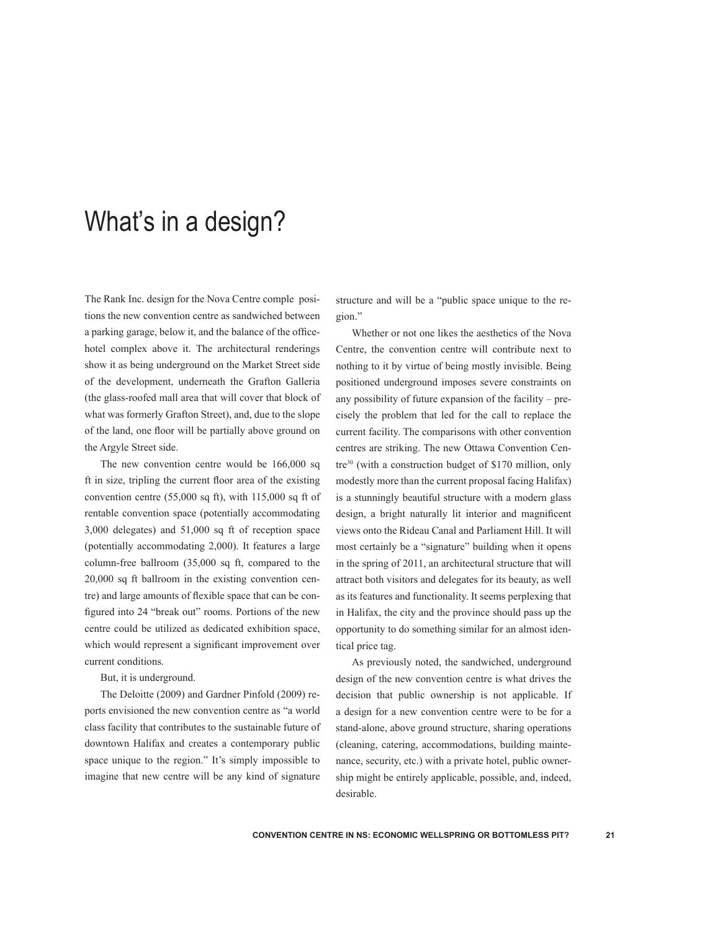## What's in a design?

The Rank Inc. design for the Nova Centre comple positions the new convention centre as sandwiched between a parking garage, below it, and the balance of the officehotel complex above it. The architectural renderings show it as being underground on the Market Street side of the development, underneath the Grafton Galleria (the glass-roofed mall area that will cover that block of what was formerly Grafton Street), and, due to the slope of the land, one floor will be partially above ground on the Argyle Street side.

The new convention centre would be 166,000 sq ft in size, tripling the current floor area of the existing convention centre (55,000 sq ft), with 115,000 sq ft of rentable convention space (potentially accommodating 3,000 delegates) and 51,000 sq ft of reception space (potentially accommodating 2,000). It features a large column-free ballroom (35,000 sq ft, compared to the 20,000 sq ft ballroom in the existing convention centre) and large amounts of flexible space that can be configured into 24 "break out" rooms. Portions of the new centre could be utilized as dedicated exhibition space, which would represent a significant improvement over current conditions.

#### But, it is underground.

The Deloitte (2009) and Gardner Pinfold (2009) reports envisioned the new convention centre as "a world class facility that contributes to the sustainable future of downtown Halifax and creates a contemporary public space unique to the region." It's simply impossible to imagine that new centre will be any kind of signature structure and will be a "public space unique to the region."

Whether or not one likes the aesthetics of the Nova Centre, the convention centre will contribute next to nothing to it by virtue of being mostly invisible. Being positioned underground imposes severe constraints on any possibility of future expansion of the facility – precisely the problem that led for the call to replace the current facility. The comparisons with other convention centres are striking. The new Ottawa Convention Centre<sup>30</sup> (with a construction budget of \$170 million, only modestly more than the current proposal facing Halifax) is a stunningly beautiful structure with a modern glass design, a bright naturally lit interior and magnificent views onto the Rideau Canal and Parliament Hill. It will most certainly be a "signature" building when it opens in the spring of 2011, an architectural structure that will attract both visitors and delegates for its beauty, as well as its features and functionality. It seems perplexing that in Halifax, the city and the province should pass up the opportunity to do something similar for an almost identical price tag.

As previously noted, the sandwiched, underground design of the new convention centre is what drives the decision that public ownership is not applicable. If a design for a new convention centre were to be for a stand-alone, above ground structure, sharing operations (cleaning, catering, accommodations, building maintenance, security, etc.) with a private hotel, public ownership might be entirely applicable, possible, and, indeed, desirable.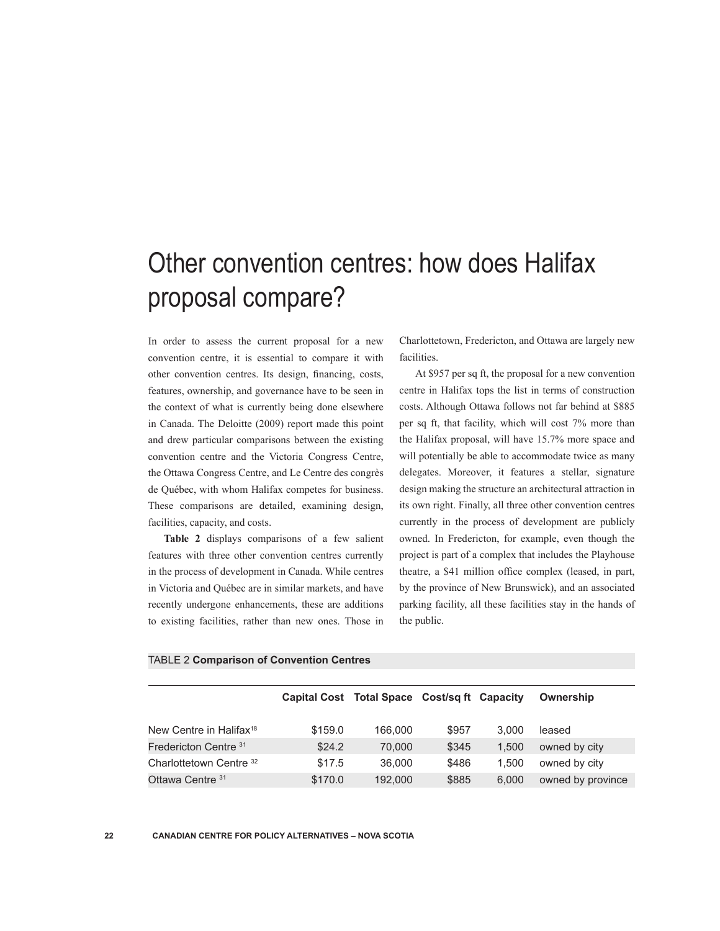# Other convention centres: how does Halifax proposal compare?

In order to assess the current proposal for a new convention centre, it is essential to compare it with other convention centres. Its design, financing, costs, features, ownership, and governance have to be seen in the context of what is currently being done elsewhere in Canada. The Deloitte (2009) report made this point and drew particular comparisons between the existing convention centre and the Victoria Congress Centre, the Ottawa Congress Centre, and Le Centre des congrès de Québec, with whom Halifax competes for business. These comparisons are detailed, examining design, facilities, capacity, and costs.

**Table 2** displays comparisons of a few salient features with three other convention centres currently in the process of development in Canada. While centres in Victoria and Québec are in similar markets, and have recently undergone enhancements, these are additions to existing facilities, rather than new ones. Those in Charlottetown, Fredericton, and Ottawa are largely new facilities.

At \$957 per sq ft, the proposal for a new convention centre in Halifax tops the list in terms of construction costs. Although Ottawa follows not far behind at \$885 per sq ft, that facility, which will cost 7% more than the Halifax proposal, will have 15.7% more space and will potentially be able to accommodate twice as many delegates. Moreover, it features a stellar, signature design making the structure an architectural attraction in its own right. Finally, all three other convention centres currently in the process of development are publicly owned. In Fredericton, for example, even though the project is part of a complex that includes the Playhouse theatre, a \$41 million office complex (leased, in part, by the province of New Brunswick), and an associated parking facility, all these facilities stay in the hands of the public.

|                                     | Capital Cost Total Space Cost/sq ft Capacity |         |       |       | Ownership         |
|-------------------------------------|----------------------------------------------|---------|-------|-------|-------------------|
| New Centre in Halifax <sup>18</sup> | \$159.0                                      | 166,000 | \$957 | 3.000 | leased            |
| Fredericton Centre 31               | \$24.2                                       | 70,000  | \$345 | 1.500 | owned by city     |
| Charlottetown Centre 32             | \$17.5                                       | 36,000  | \$486 | 1.500 | owned by city     |
| Ottawa Centre 31                    | \$170.0                                      | 192,000 | \$885 | 6,000 | owned by province |

#### TABLE 2 **Comparison of Convention Centres**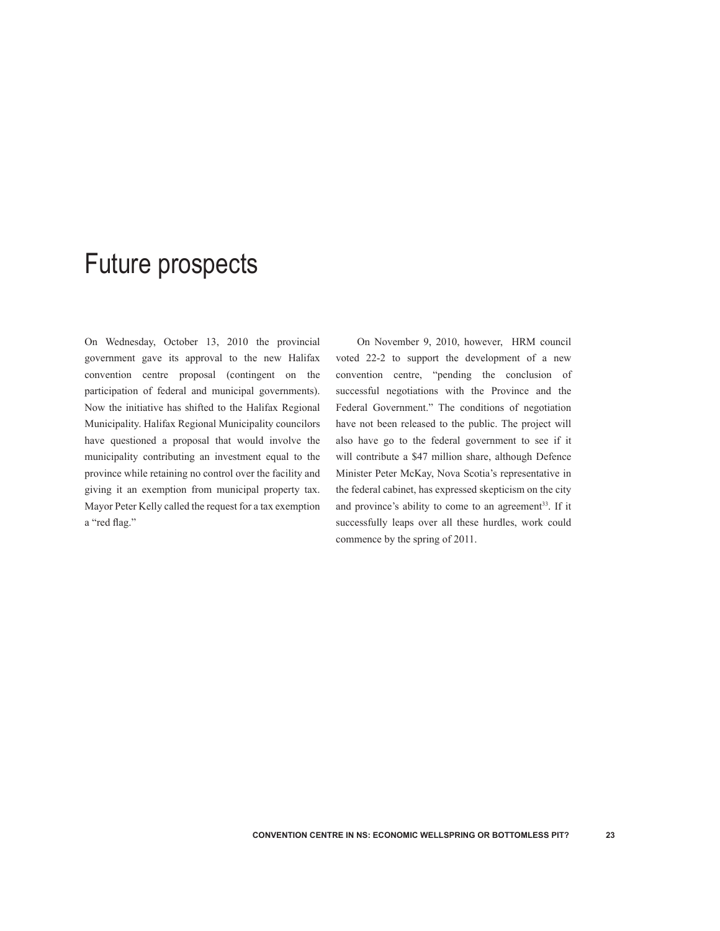## Future prospects

On Wednesday, October 13, 2010 the provincial government gave its approval to the new Halifax convention centre proposal (contingent on the participation of federal and municipal governments). Now the initiative has shifted to the Halifax Regional Municipality. Halifax Regional Municipality councilors have questioned a proposal that would involve the municipality contributing an investment equal to the province while retaining no control over the facility and giving it an exemption from municipal property tax. Mayor Peter Kelly called the request for a tax exemption a "red flag."

On November 9, 2010, however, HRM council voted 22-2 to support the development of a new convention centre, "pending the conclusion of successful negotiations with the Province and the Federal Government." The conditions of negotiation have not been released to the public. The project will also have go to the federal government to see if it will contribute a \$47 million share, although Defence Minister Peter McKay, Nova Scotia's representative in the federal cabinet, has expressed skepticism on the city and province's ability to come to an agreement<sup>33</sup>. If it successfully leaps over all these hurdles, work could commence by the spring of 2011.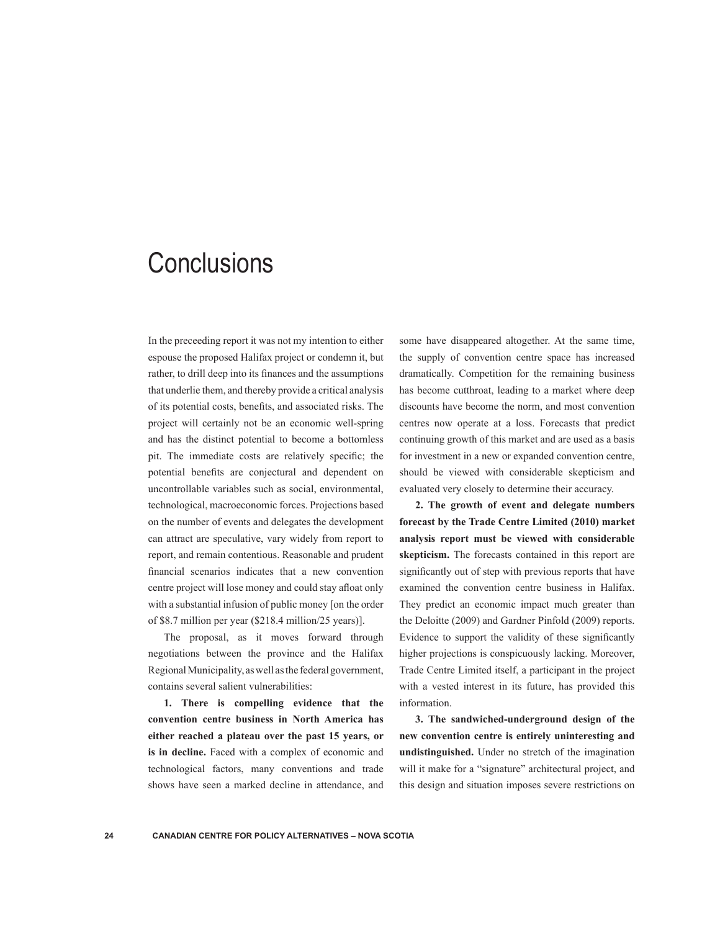## **Conclusions**

In the preceeding report it was not my intention to either espouse the proposed Halifax project or condemn it, but rather, to drill deep into its finances and the assumptions that underlie them, and thereby provide a critical analysis of its potential costs, benefits, and associated risks. The project will certainly not be an economic well-spring and has the distinct potential to become a bottomless pit. The immediate costs are relatively specific; the potential benefits are conjectural and dependent on uncontrollable variables such as social, environmental, technological, macroeconomic forces. Projections based on the number of events and delegates the development can attract are speculative, vary widely from report to report, and remain contentious. Reasonable and prudent financial scenarios indicates that a new convention centre project will lose money and could stay afloat only with a substantial infusion of public money [on the order of \$8.7 million per year (\$218.4 million/25 years)].

The proposal, as it moves forward through negotiations between the province and the Halifax Regional Municipality, as well as the federal government, contains several salient vulnerabilities:

**1. There is compelling evidence that the convention centre business in North America has either reached a plateau over the past 15 years, or is in decline.** Faced with a complex of economic and technological factors, many conventions and trade shows have seen a marked decline in attendance, and some have disappeared altogether. At the same time, the supply of convention centre space has increased dramatically. Competition for the remaining business has become cutthroat, leading to a market where deep discounts have become the norm, and most convention centres now operate at a loss. Forecasts that predict continuing growth of this market and are used as a basis for investment in a new or expanded convention centre, should be viewed with considerable skepticism and evaluated very closely to determine their accuracy.

**2. The growth of event and delegate numbers forecast by the Trade Centre Limited (2010) market analysis report must be viewed with considerable skepticism.** The forecasts contained in this report are significantly out of step with previous reports that have examined the convention centre business in Halifax. They predict an economic impact much greater than the Deloitte (2009) and Gardner Pinfold (2009) reports. Evidence to support the validity of these significantly higher projections is conspicuously lacking. Moreover, Trade Centre Limited itself, a participant in the project with a vested interest in its future, has provided this information.

**3. The sandwiched-underground design of the new convention centre is entirely uninteresting and undistinguished.** Under no stretch of the imagination will it make for a "signature" architectural project, and this design and situation imposes severe restrictions on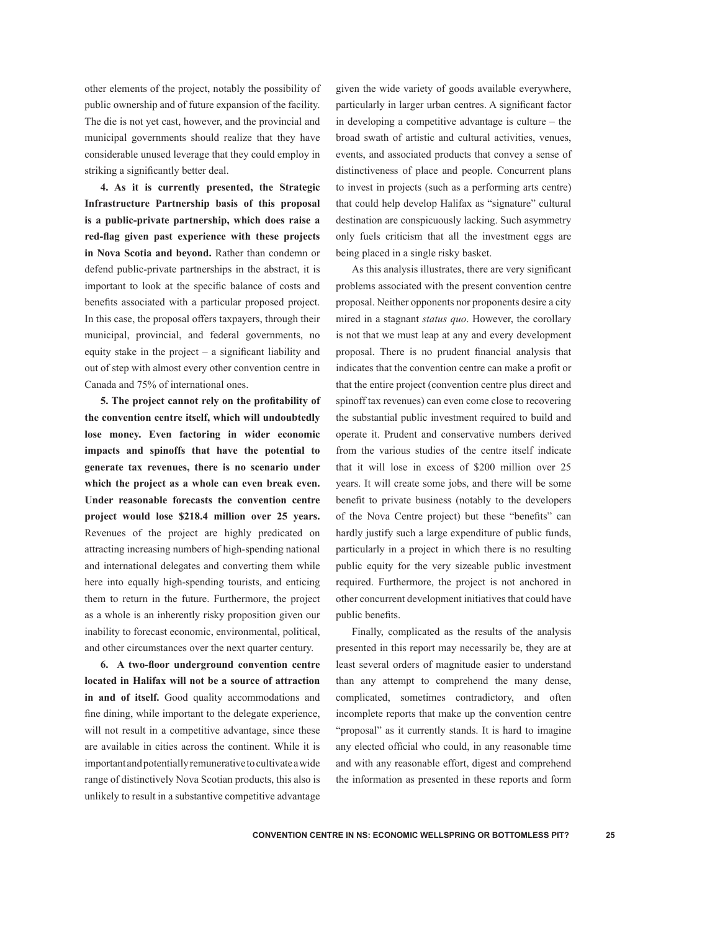other elements of the project, notably the possibility of public ownership and of future expansion of the facility. The die is not yet cast, however, and the provincial and municipal governments should realize that they have considerable unused leverage that they could employ in striking a significantly better deal.

**4. As it is currently presented, the Strategic Infrastructure Partnership basis of this proposal is a public-private partnership, which does raise a red-flag given past experience with these projects in Nova Scotia and beyond.** Rather than condemn or defend public-private partnerships in the abstract, it is important to look at the specific balance of costs and benefits associated with a particular proposed project. In this case, the proposal offers taxpayers, through their municipal, provincial, and federal governments, no equity stake in the project – a significant liability and out of step with almost every other convention centre in Canada and 75% of international ones.

**5. The project cannot rely on the profitability of the convention centre itself, which will undoubtedly lose money. Even factoring in wider economic impacts and spinoffs that have the potential to generate tax revenues, there is no scenario under which the project as a whole can even break even. Under reasonable forecasts the convention centre project would lose \$218.4 million over 25 years.**  Revenues of the project are highly predicated on attracting increasing numbers of high-spending national and international delegates and converting them while here into equally high-spending tourists, and enticing them to return in the future. Furthermore, the project as a whole is an inherently risky proposition given our inability to forecast economic, environmental, political, and other circumstances over the next quarter century.

**6. A two-floor underground convention centre located in Halifax will not be a source of attraction in and of itself.** Good quality accommodations and fine dining, while important to the delegate experience, will not result in a competitive advantage, since these are available in cities across the continent. While it is important and potentially remunerative to cultivate a wide range of distinctively Nova Scotian products, this also is unlikely to result in a substantive competitive advantage given the wide variety of goods available everywhere, particularly in larger urban centres. A significant factor in developing a competitive advantage is culture – the broad swath of artistic and cultural activities, venues, events, and associated products that convey a sense of distinctiveness of place and people. Concurrent plans to invest in projects (such as a performing arts centre) that could help develop Halifax as "signature" cultural destination are conspicuously lacking. Such asymmetry only fuels criticism that all the investment eggs are being placed in a single risky basket.

As this analysis illustrates, there are very significant problems associated with the present convention centre proposal. Neither opponents nor proponents desire a city mired in a stagnant *status quo*. However, the corollary is not that we must leap at any and every development proposal. There is no prudent financial analysis that indicates that the convention centre can make a profit or that the entire project (convention centre plus direct and spinoff tax revenues) can even come close to recovering the substantial public investment required to build and operate it. Prudent and conservative numbers derived from the various studies of the centre itself indicate that it will lose in excess of \$200 million over 25 years. It will create some jobs, and there will be some benefit to private business (notably to the developers of the Nova Centre project) but these "benefits" can hardly justify such a large expenditure of public funds, particularly in a project in which there is no resulting public equity for the very sizeable public investment required. Furthermore, the project is not anchored in other concurrent development initiatives that could have public benefits.

Finally, complicated as the results of the analysis presented in this report may necessarily be, they are at least several orders of magnitude easier to understand than any attempt to comprehend the many dense, complicated, sometimes contradictory, and often incomplete reports that make up the convention centre "proposal" as it currently stands. It is hard to imagine any elected official who could, in any reasonable time and with any reasonable effort, digest and comprehend the information as presented in these reports and form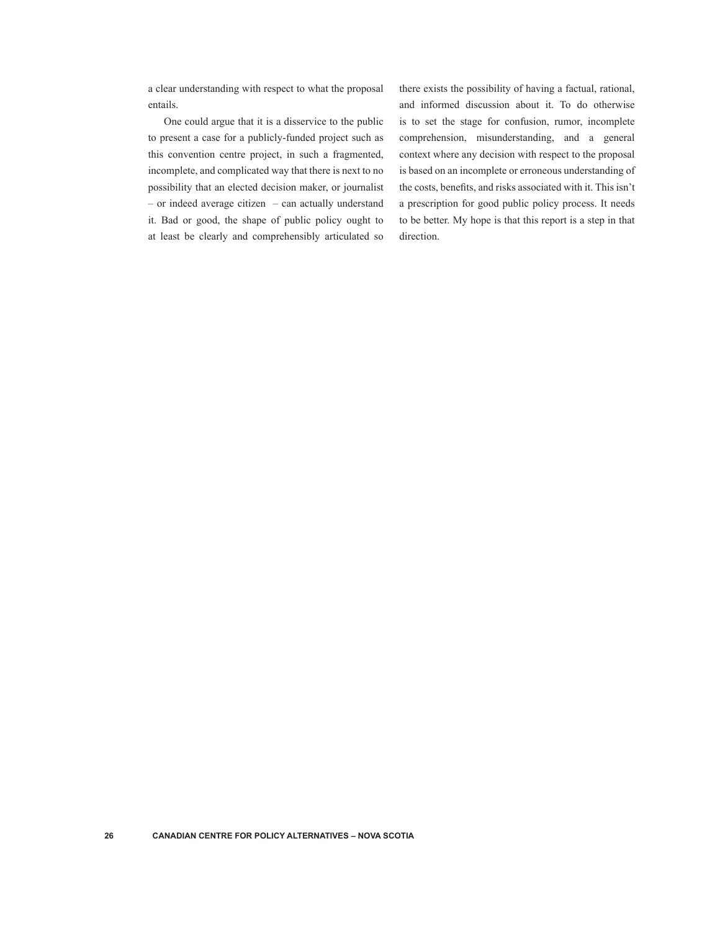a clear understanding with respect to what the proposal entails.

One could argue that it is a disservice to the public to present a case for a publicly-funded project such as this convention centre project, in such a fragmented, incomplete, and complicated way that there is next to no possibility that an elected decision maker, or journalist – or indeed average citizen – can actually understand it. Bad or good, the shape of public policy ought to at least be clearly and comprehensibly articulated so

there exists the possibility of having a factual, rational, and informed discussion about it. To do otherwise is to set the stage for confusion, rumor, incomplete comprehension, misunderstanding, and a general context where any decision with respect to the proposal is based on an incomplete or erroneous understanding of the costs, benefits, and risks associated with it. This isn't a prescription for good public policy process. It needs to be better. My hope is that this report is a step in that direction.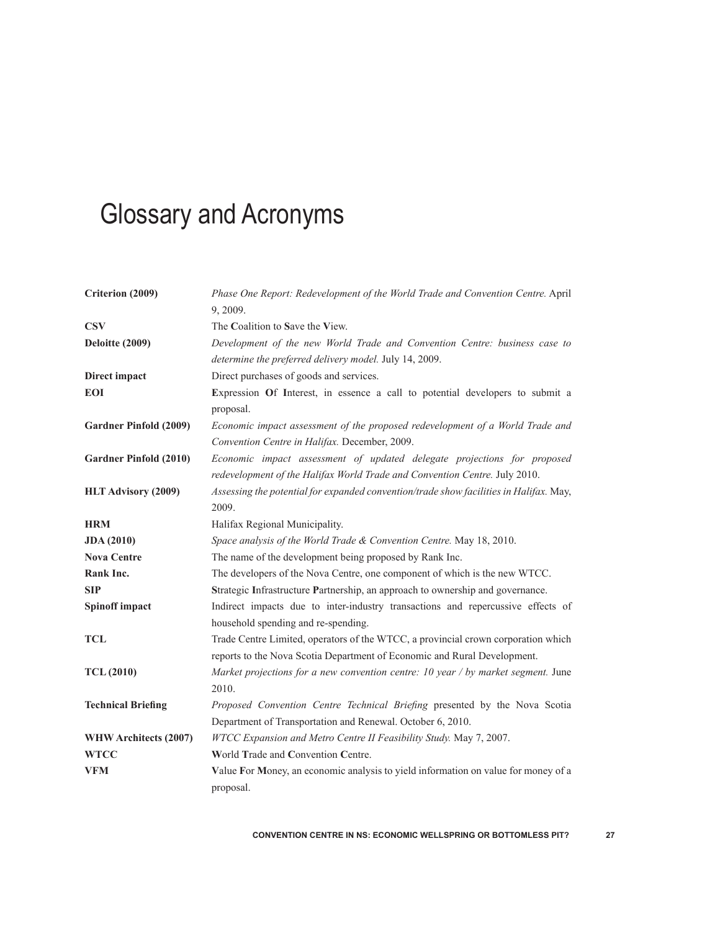# Glossary and Acronyms

| Criterion (2009)              | Phase One Report: Redevelopment of the World Trade and Convention Centre. April<br>9, 2009.                                                                   |  |  |
|-------------------------------|---------------------------------------------------------------------------------------------------------------------------------------------------------------|--|--|
| <b>CSV</b>                    | The Coalition to Save the View.                                                                                                                               |  |  |
| Deloitte (2009)               | Development of the new World Trade and Convention Centre: business case to<br>determine the preferred delivery model. July 14, 2009.                          |  |  |
| Direct impact                 | Direct purchases of goods and services.                                                                                                                       |  |  |
| <b>EOI</b>                    | Expression Of Interest, in essence a call to potential developers to submit a<br>proposal.                                                                    |  |  |
| <b>Gardner Pinfold (2009)</b> | Economic impact assessment of the proposed redevelopment of a World Trade and<br>Convention Centre in Halifax. December, 2009.                                |  |  |
| Gardner Pinfold (2010)        | Economic impact assessment of updated delegate projections for proposed<br>redevelopment of the Halifax World Trade and Convention Centre. July 2010.         |  |  |
| HLT Advisory (2009)           | Assessing the potential for expanded convention/trade show facilities in Halifax. May,<br>2009.                                                               |  |  |
| <b>HRM</b>                    | Halifax Regional Municipality.                                                                                                                                |  |  |
| <b>JDA</b> (2010)             | Space analysis of the World Trade & Convention Centre. May 18, 2010.                                                                                          |  |  |
| <b>Nova Centre</b>            | The name of the development being proposed by Rank Inc.                                                                                                       |  |  |
| Rank Inc.                     | The developers of the Nova Centre, one component of which is the new WTCC.                                                                                    |  |  |
| <b>SIP</b>                    | Strategic Infrastructure Partnership, an approach to ownership and governance.                                                                                |  |  |
| Spinoff impact                | Indirect impacts due to inter-industry transactions and repercussive effects of<br>household spending and re-spending.                                        |  |  |
| <b>TCL</b>                    | Trade Centre Limited, operators of the WTCC, a provincial crown corporation which<br>reports to the Nova Scotia Department of Economic and Rural Development. |  |  |
| <b>TCL</b> (2010)             | Market projections for a new convention centre: 10 year / by market segment. June<br>2010.                                                                    |  |  |
| <b>Technical Briefing</b>     | Proposed Convention Centre Technical Briefing presented by the Nova Scotia                                                                                    |  |  |
|                               | Department of Transportation and Renewal. October 6, 2010.                                                                                                    |  |  |
| WHW Architects (2007)         | WTCC Expansion and Metro Centre II Feasibility Study. May 7, 2007.                                                                                            |  |  |
| <b>WTCC</b>                   | World Trade and Convention Centre.                                                                                                                            |  |  |
| <b>VFM</b>                    | Value For Money, an economic analysis to yield information on value for money of a<br>proposal.                                                               |  |  |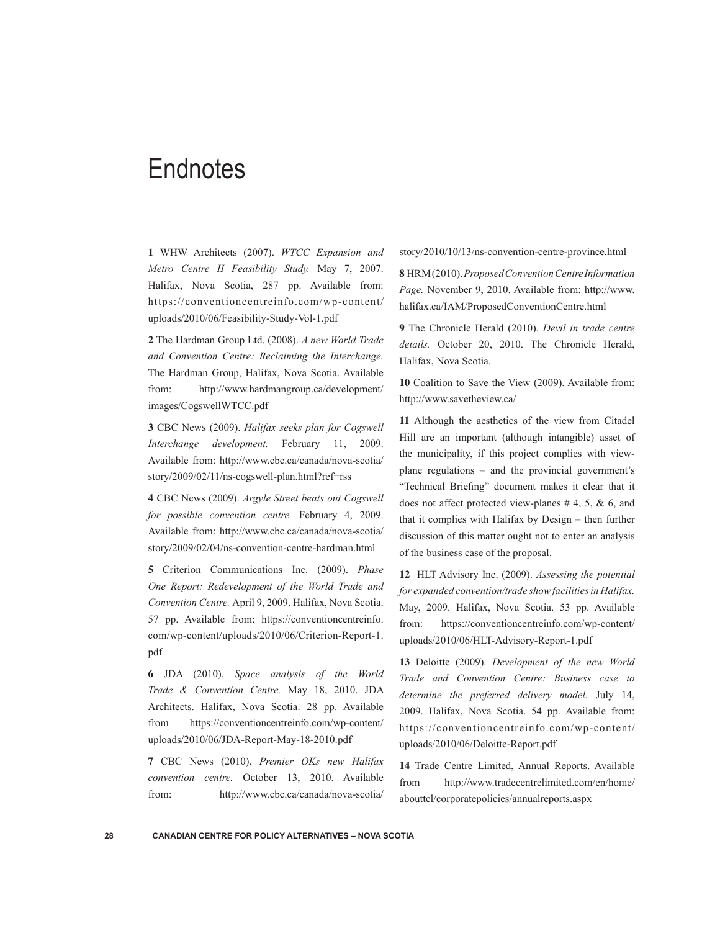## **Endnotes**

**1** WHW Architects (2007). *WTCC Expansion and Metro Centre II Feasibility Study.* May 7, 2007. Halifax, Nova Scotia, 287 pp. Available from: https://conventioncentreinfo.com/wp-content/ uploads/2010/06/Feasibility-Study-Vol-1.pdf

**2** The Hardman Group Ltd. (2008). *A new World Trade and Convention Centre: Reclaiming the Interchange.*  The Hardman Group, Halifax, Nova Scotia. Available from: http://www.hardmangroup.ca/development/ images/CogswellWTCC.pdf

**3** CBC News (2009). *Halifax seeks plan for Cogswell Interchange development.* February 11, 2009. Available from: http://www.cbc.ca/canada/nova-scotia/ story/2009/02/11/ns-cogswell-plan.html?ref=rss

**4** CBC News (2009). *Argyle Street beats out Cogswell for possible convention centre.* February 4, 2009. Available from: http://www.cbc.ca/canada/nova-scotia/ story/2009/02/04/ns-convention-centre-hardman.html

**5** Criterion Communications Inc. (2009). *Phase One Report: Redevelopment of the World Trade and Convention Centre.* April 9, 2009. Halifax, Nova Scotia. 57 pp. Available from: https://conventioncentreinfo. com/wp-content/uploads/2010/06/Criterion-Report-1. pdf

**6** JDA (2010). *Space analysis of the World Trade & Convention Centre.* May 18, 2010. JDA Architects. Halifax, Nova Scotia. 28 pp. Available from https://conventioncentreinfo.com/wp-content/ uploads/2010/06/JDA-Report-May-18-2010.pdf

**7** CBC News (2010). *Premier OKs new Halifax convention centre.* October 13, 2010. Available from: http://www.cbc.ca/canada/nova-scotia/ story/2010/10/13/ns-convention-centre-province.html

**8** HRM (2010). *Proposed Convention Centre Information Page.* November 9, 2010. Available from: http://www. halifax.ca/IAM/ProposedConventionCentre.html

**9** The Chronicle Herald (2010). *Devil in trade centre details.* October 20, 2010. The Chronicle Herald, Halifax, Nova Scotia.

**10** Coalition to Save the View (2009). Available from: http://www.savetheview.ca/

**11** Although the aesthetics of the view from Citadel Hill are an important (although intangible) asset of the municipality, if this project complies with viewplane regulations – and the provincial government's "Technical Briefing" document makes it clear that it does not affect protected view-planes  $# 4, 5, \& 6, \text{ and}$ that it complies with Halifax by Design – then further discussion of this matter ought not to enter an analysis of the business case of the proposal.

**12** HLT Advisory Inc. (2009). *Assessing the potential for expanded convention/trade show facilities in Halifax.* May, 2009. Halifax, Nova Scotia. 53 pp. Available from: https://conventioncentreinfo.com/wp-content/ uploads/2010/06/HLT-Advisory-Report-1.pdf

**13** Deloitte (2009). *Development of the new World Trade and Convention Centre: Business case to determine the preferred delivery model.* July 14, 2009. Halifax, Nova Scotia. 54 pp. Available from: https://conventioncentreinfo.com/wp-content/ uploads/2010/06/Deloitte-Report.pdf

**14** Trade Centre Limited, Annual Reports. Available from http://www.tradecentrelimited.com/en/home/ abouttcl/corporatepolicies/annualreports.aspx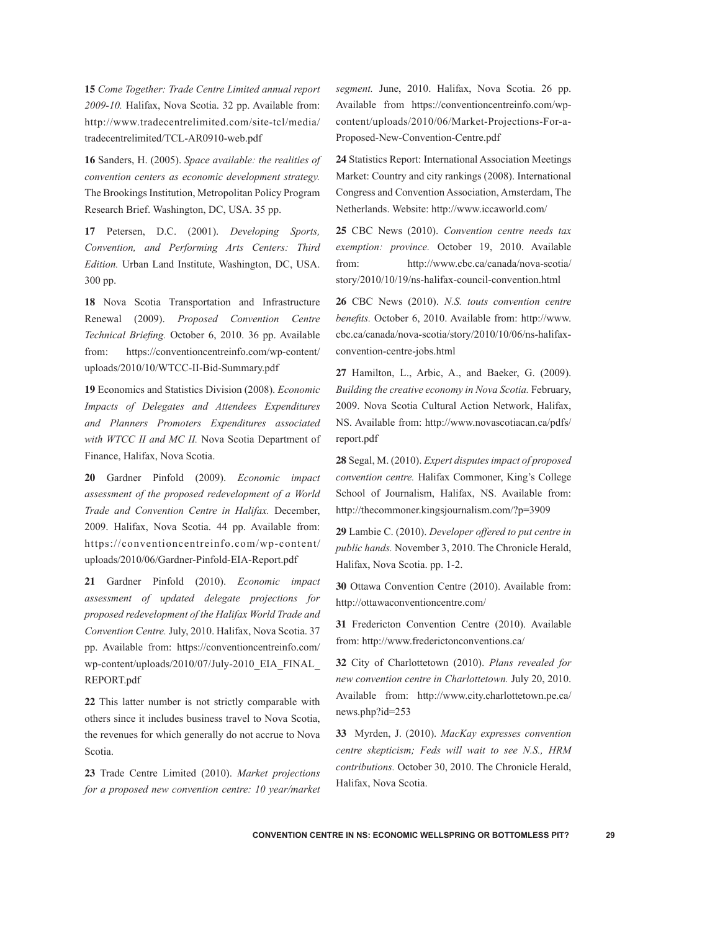**15** *Come Together: Trade Centre Limited annual report 2009-10.* Halifax, Nova Scotia. 32 pp. Available from: http://www.tradecentrelimited.com/site-tcl/media/ tradecentrelimited/TCL-AR0910-web.pdf

**16** Sanders, H. (2005). *Space available: the realities of convention centers as economic development strategy.*  The Brookings Institution, Metropolitan Policy Program Research Brief. Washington, DC, USA. 35 pp.

**17** Petersen, D.C. (2001). *Developing Sports, Convention, and Performing Arts Centers: Third Edition.* Urban Land Institute, Washington, DC, USA. 300 pp.

**18** Nova Scotia Transportation and Infrastructure Renewal (2009). *Proposed Convention Centre Technical Briefing.* October 6, 2010. 36 pp. Available from: https://conventioncentreinfo.com/wp-content/ uploads/2010/10/WTCC-II-Bid-Summary.pdf

**19** Economics and Statistics Division (2008). *Economic Impacts of Delegates and Attendees Expenditures and Planners Promoters Expenditures associated with WTCC II and MC II.* Nova Scotia Department of Finance, Halifax, Nova Scotia.

**20** Gardner Pinfold (2009). *Economic impact assessment of the proposed redevelopment of a World Trade and Convention Centre in Halifax.* December, 2009. Halifax, Nova Scotia. 44 pp. Available from: https://conventioncentreinfo.com/wp-content/ uploads/2010/06/Gardner-Pinfold-EIA-Report.pdf

**21** Gardner Pinfold (2010). *Economic impact assessment of updated delegate projections for proposed redevelopment of the Halifax World Trade and Convention Centre.* July, 2010. Halifax, Nova Scotia. 37 pp. Available from: https://conventioncentreinfo.com/ wp-content/uploads/2010/07/July-2010\_EIA\_FINAL\_ REPORT.pdf

**22** This latter number is not strictly comparable with others since it includes business travel to Nova Scotia, the revenues for which generally do not accrue to Nova Scotia.

**23** Trade Centre Limited (2010). *Market projections for a proposed new convention centre: 10 year/market*  *segment.* June, 2010. Halifax, Nova Scotia. 26 pp. Available from https://conventioncentreinfo.com/wpcontent/uploads/2010/06/Market-Projections-For-a-Proposed-New-Convention-Centre.pdf

**24** Statistics Report: International Association Meetings Market: Country and city rankings (2008). International Congress and Convention Association, Amsterdam, The Netherlands. Website: http://www.iccaworld.com/

**25** CBC News (2010). *Convention centre needs tax exemption: province.* October 19, 2010. Available from: http://www.cbc.ca/canada/nova-scotia/ story/2010/10/19/ns-halifax-council-convention.html

**26** CBC News (2010). *N.S. touts convention centre benefits.* October 6, 2010. Available from: http://www. cbc.ca/canada/nova-scotia/story/2010/10/06/ns-halifaxconvention-centre-jobs.html

**27** Hamilton, L., Arbic, A., and Baeker, G. (2009). *Building the creative economy in Nova Scotia.* February, 2009. Nova Scotia Cultural Action Network, Halifax, NS. Available from: http://www.novascotiacan.ca/pdfs/ report.pdf

**28** Segal, M. (2010). *Expert disputes impact of proposed convention centre.* Halifax Commoner, King's College School of Journalism, Halifax, NS. Available from: http://thecommoner.kingsjournalism.com/?p=3909

**29** Lambie C. (2010). *Developer offered to put centre in public hands.* November 3, 2010. The Chronicle Herald, Halifax, Nova Scotia. pp. 1-2.

**30** Ottawa Convention Centre (2010). Available from: http://ottawaconventioncentre.com/

**31** Fredericton Convention Centre (2010). Available from: http://www.frederictonconventions.ca/

**32** City of Charlottetown (2010). *Plans revealed for new convention centre in Charlottetown.* July 20, 2010. Available from: http://www.city.charlottetown.pe.ca/ news.php?id=253

**33** Myrden, J. (2010). *MacKay expresses convention centre skepticism; Feds will wait to see N.S., HRM contributions.* October 30, 2010. The Chronicle Herald, Halifax, Nova Scotia.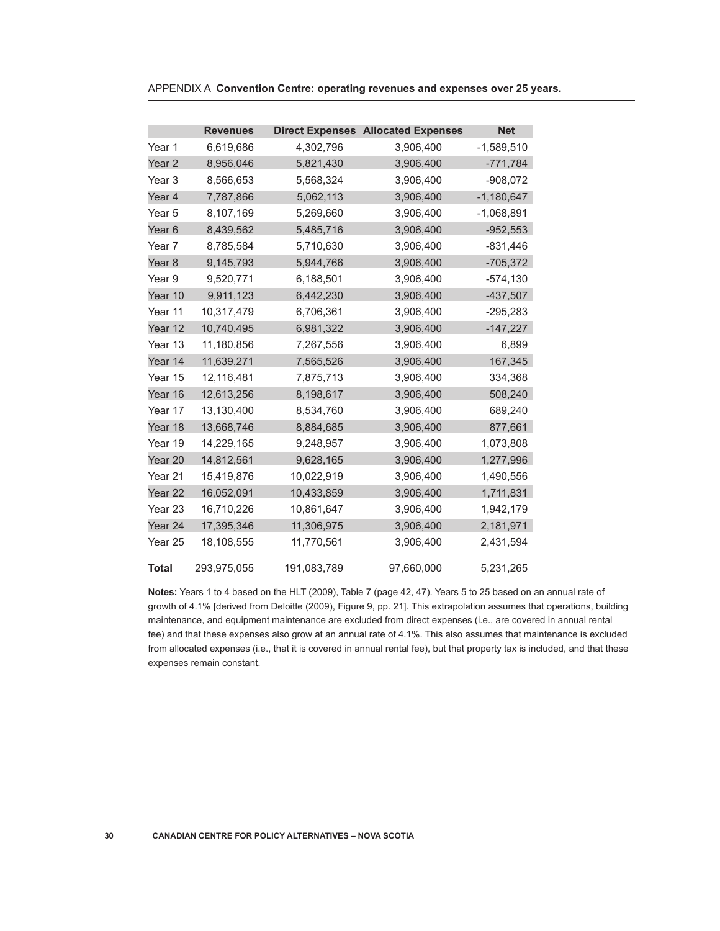|                    | <b>Revenues</b> |             | <b>Direct Expenses Allocated Expenses</b> | <b>Net</b>   |
|--------------------|-----------------|-------------|-------------------------------------------|--------------|
| Year 1             | 6,619,686       | 4,302,796   | 3,906,400                                 | $-1,589,510$ |
| Year 2             | 8,956,046       | 5,821,430   | 3,906,400                                 | $-771,784$   |
| Year 3             | 8,566,653       | 5,568,324   | 3,906,400                                 | $-908,072$   |
| Year 4             | 7,787,866       | 5,062,113   | 3,906,400                                 | $-1,180,647$ |
| Year 5             | 8,107,169       | 5,269,660   | 3,906,400                                 | $-1,068,891$ |
| Year <sub>6</sub>  | 8,439,562       | 5,485,716   | 3,906,400                                 | $-952,553$   |
| Year 7             | 8,785,584       | 5,710,630   | 3,906,400                                 | $-831,446$   |
| Year <sub>8</sub>  | 9,145,793       | 5,944,766   | 3,906,400                                 | $-705,372$   |
| Year 9             | 9,520,771       | 6,188,501   | 3,906,400                                 | $-574,130$   |
| Year 10            | 9,911,123       | 6,442,230   | 3,906,400                                 | $-437,507$   |
| Year 11            | 10,317,479      | 6,706,361   | 3,906,400                                 | $-295,283$   |
| Year 12            | 10,740,495      | 6,981,322   | 3,906,400                                 | $-147,227$   |
| Year 13            | 11,180,856      | 7,267,556   | 3,906,400                                 | 6,899        |
| Year 14            | 11,639,271      | 7,565,526   | 3,906,400                                 | 167,345      |
| Year 15            | 12,116,481      | 7,875,713   | 3,906,400                                 | 334,368      |
| Year 16            | 12,613,256      | 8,198,617   | 3,906,400                                 | 508,240      |
| Year 17            | 13,130,400      | 8,534,760   | 3,906,400                                 | 689,240      |
| Year 18            | 13,668,746      | 8,884,685   | 3,906,400                                 | 877,661      |
| Year 19            | 14,229,165      | 9,248,957   | 3,906,400                                 | 1,073,808    |
| Year 20            | 14,812,561      | 9,628,165   | 3,906,400                                 | 1,277,996    |
| Year 21            | 15,419,876      | 10,022,919  | 3,906,400                                 | 1,490,556    |
| Year 22            | 16,052,091      | 10,433,859  | 3,906,400                                 | 1,711,831    |
| Year <sub>23</sub> | 16,710,226      | 10,861,647  | 3,906,400                                 | 1,942,179    |
| Year 24            | 17,395,346      | 11,306,975  | 3,906,400                                 | 2,181,971    |
| Year 25            | 18,108,555      | 11,770,561  | 3,906,400                                 | 2,431,594    |
| <b>Total</b>       | 293,975,055     | 191,083,789 | 97,660,000                                | 5,231,265    |

APPENDIX A **Convention Centre: operating revenues and expenses over 25 years.**

**Notes:** Years 1 to 4 based on the HLT (2009), Table 7 (page 42, 47). Years 5 to 25 based on an annual rate of growth of 4.1% [derived from Deloitte (2009), Figure 9, pp. 21]. This extrapolation assumes that operations, building maintenance, and equipment maintenance are excluded from direct expenses (i.e., are covered in annual rental fee) and that these expenses also grow at an annual rate of 4.1%. This also assumes that maintenance is excluded from allocated expenses (i.e., that it is covered in annual rental fee), but that property tax is included, and that these expenses remain constant.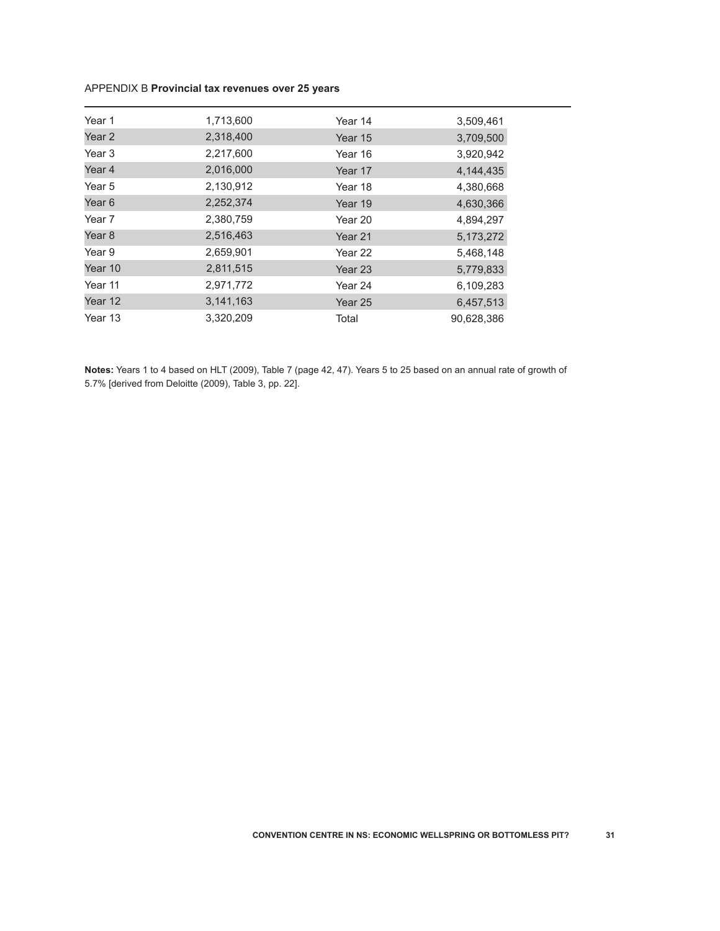## APPENDIX B **Provincial tax revenues over 25 years**

| Year 1            | 1,713,600 | Year 14            | 3,509,461  |
|-------------------|-----------|--------------------|------------|
| Year <sub>2</sub> | 2,318,400 | Year 15            | 3,709,500  |
| Year <sub>3</sub> | 2,217,600 | Year 16            | 3,920,942  |
| Year 4            | 2,016,000 | Year 17            | 4,144,435  |
| Year 5            | 2,130,912 | Year 18            | 4,380,668  |
| Year <sub>6</sub> | 2,252,374 | Year 19            | 4,630,366  |
| Year 7            | 2,380,759 | Year 20            | 4,894,297  |
| Year <sub>8</sub> | 2,516,463 | Year 21            | 5,173,272  |
| Year 9            | 2,659,901 | Year 22            | 5,468,148  |
| Year 10           | 2,811,515 | Year <sub>23</sub> | 5,779,833  |
| Year 11           | 2,971,772 | Year 24            | 6,109,283  |
| Year 12           | 3,141,163 | Year 25            | 6,457,513  |
| Year 13           | 3,320,209 | Total              | 90,628,386 |

**Notes:** Years 1 to 4 based on HLT (2009), Table 7 (page 42, 47). Years 5 to 25 based on an annual rate of growth of 5.7% [derived from Deloitte (2009), Table 3, pp. 22].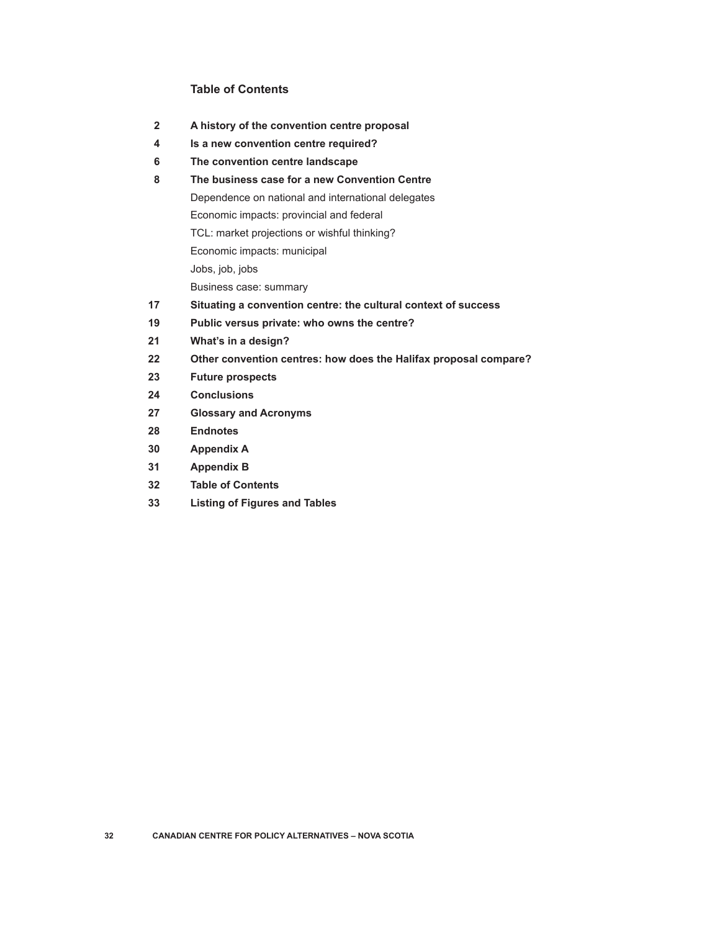### **Table of Contents**

- **A history of the convention centre proposal**
- **Is a new convention centre required?**
- **The convention centre landscape**
- **The business case for a new Convention Centre** Dependence on national and international delegates Economic impacts: provincial and federal TCL: market projections or wishful thinking? Economic impacts: municipal Jobs, job, jobs Business case: summary
- **Situating a convention centre: the cultural context of success**
- **Public versus private: who owns the centre?**
- **What's in a design?**
- **Other convention centres: how does the Halifax proposal compare?**
- **Future prospects**
- **Conclusions**
- **Glossary and Acronyms**
- **Endnotes**
- **Appendix A**
- **Appendix B**
- **Table of Contents**
- **Listing of Figures and Tables**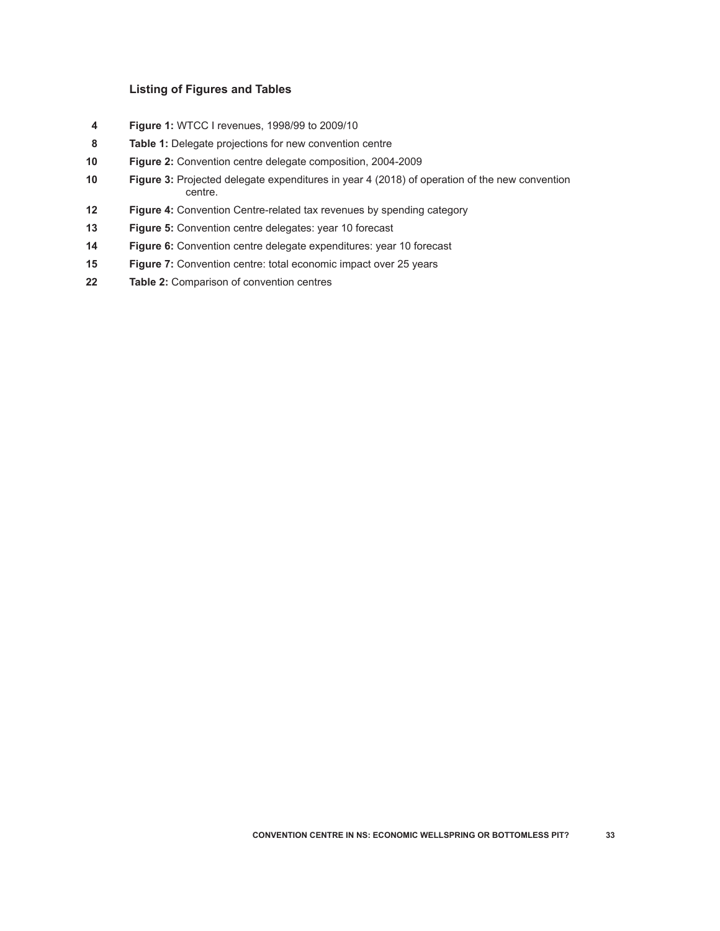#### **Listing of Figures and Tables**

- **Figure 1:** WTCC I revenues, 1998/99 to 2009/10
- **Table 1:** Delegate projections for new convention centre
- **Figure 2:** Convention centre delegate composition, 2004-2009
- **Figure 3:** Projected delegate expenditures in year 4 (2018) of operation of the new convention centre.
- **Figure 4:** Convention Centre-related tax revenues by spending category
- **Figure 5:** Convention centre delegates: year 10 forecast
- **Figure 6:** Convention centre delegate expenditures: year 10 forecast
- **Figure 7:** Convention centre: total economic impact over 25 years
- **Table 2:** Comparison of convention centres